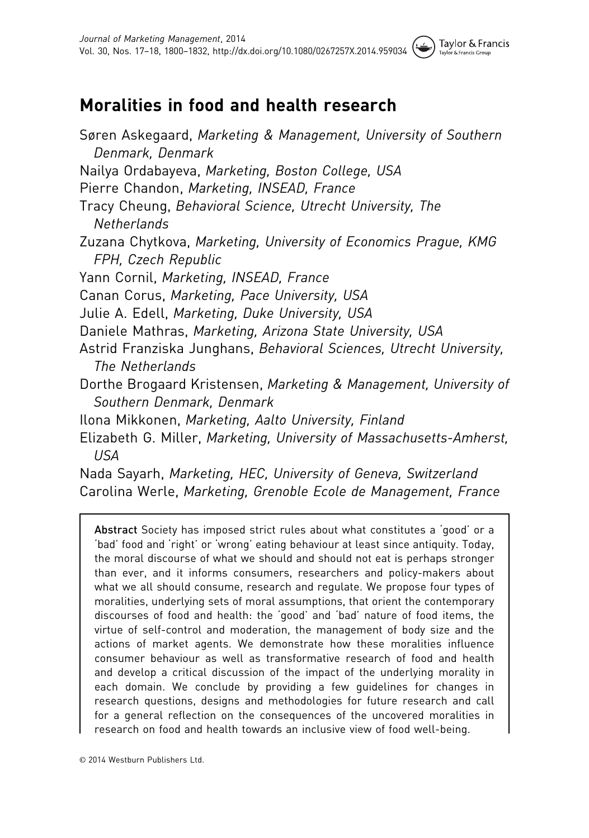Taylor & Francis

# Moralities in food and health research

Søren Askegaard, Marketing & Management, University of Southern Denmark, Denmark Nailya Ordabayeva, Marketing, Boston College, USA Pierre Chandon, Marketing, INSEAD, France Tracy Cheung, Behavioral Science, Utrecht University, The **Netherlands** Zuzana Chytkova, Marketing, University of Economics Prague, KMG FPH, Czech Republic Yann Cornil, Marketing, INSEAD, France Canan Corus, Marketing, Pace University, USA Julie A. Edell, Marketing, Duke University, USA Daniele Mathras, Marketing, Arizona State University, USA Astrid Franziska Junghans, Behavioral Sciences, Utrecht University, The Netherlands Dorthe Brogaard Kristensen, Marketing & Management, University of Southern Denmark, Denmark Ilona Mikkonen, Marketing, Aalto University, Finland Elizabeth G. Miller, Marketing, University of Massachusetts-Amherst, USA

Nada Sayarh, Marketing, HEC, University of Geneva, Switzerland Carolina Werle, Marketing, Grenoble Ecole de Management, France

Abstract Society has imposed strict rules about what constitutes a 'good' or a 'bad' food and 'right' or 'wrong' eating behaviour at least since antiquity. Today, the moral discourse of what we should and should not eat is perhaps stronger than ever, and it informs consumers, researchers and policy-makers about what we all should consume, research and regulate. We propose four types of moralities, underlying sets of moral assumptions, that orient the contemporary discourses of food and health: the 'good' and 'bad' nature of food items, the virtue of self-control and moderation, the management of body size and the actions of market agents. We demonstrate how these moralities influence consumer behaviour as well as transformative research of food and health and develop a critical discussion of the impact of the underlying morality in each domain. We conclude by providing a few guidelines for changes in research questions, designs and methodologies for future research and call for a general reflection on the consequences of the uncovered moralities in research on food and health towards an inclusive view of food well-being.

© 2014 Westburn Publishers Ltd.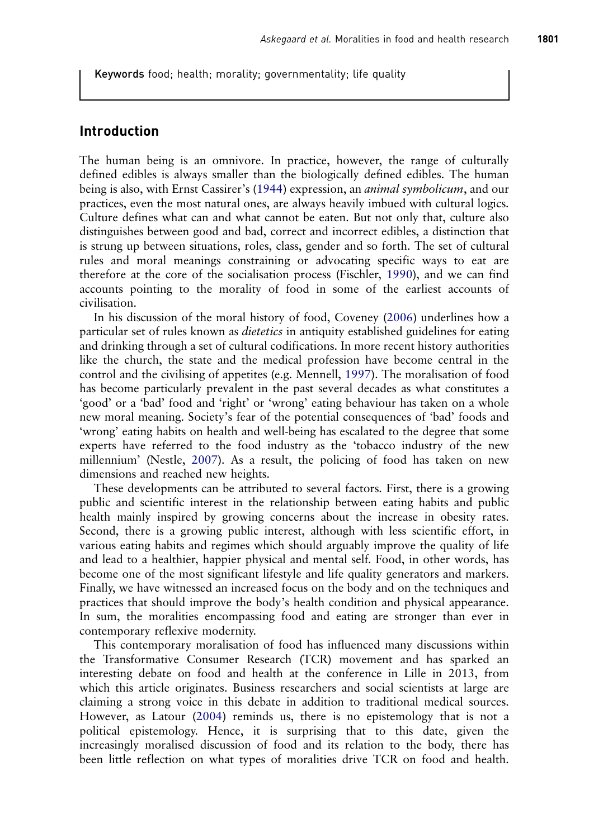Keywords food; health; morality; governmentality; life quality

# Introduction

The human being is an omnivore. In practice, however, the range of culturally defined edibles is always smaller than the biologically defined edibles. The human being is also, with Ernst Cassirer's [\(1944](#page-23-0)) expression, an animal symbolicum, and our practices, even the most natural ones, are always heavily imbued with cultural logics. Culture defines what can and what cannot be eaten. But not only that, culture also distinguishes between good and bad, correct and incorrect edibles, a distinction that is strung up between situations, roles, class, gender and so forth. The set of cultural rules and moral meanings constraining or advocating specific ways to eat are therefore at the core of the socialisation process (Fischler, [1990\)](#page-24-0), and we can find accounts pointing to the morality of food in some of the earliest accounts of civilisation.

In his discussion of the moral history of food, Coveney [\(2006](#page-24-0)) underlines how a particular set of rules known as *dietetics* in antiquity established guidelines for eating and drinking through a set of cultural codifications. In more recent history authorities like the church, the state and the medical profession have become central in the control and the civilising of appetites (e.g. Mennell, [1997\)](#page-26-0). The moralisation of food has become particularly prevalent in the past several decades as what constitutes a 'good' or a 'bad' food and 'right' or 'wrong' eating behaviour has taken on a whole new moral meaning. Society's fear of the potential consequences of 'bad' foods and 'wrong' eating habits on health and well-being has escalated to the degree that some experts have referred to the food industry as the 'tobacco industry of the new millennium' (Nestle, [2007](#page-27-0)). As a result, the policing of food has taken on new dimensions and reached new heights.

These developments can be attributed to several factors. First, there is a growing public and scientific interest in the relationship between eating habits and public health mainly inspired by growing concerns about the increase in obesity rates. Second, there is a growing public interest, although with less scientific effort, in various eating habits and regimes which should arguably improve the quality of life and lead to a healthier, happier physical and mental self. Food, in other words, has become one of the most significant lifestyle and life quality generators and markers. Finally, we have witnessed an increased focus on the body and on the techniques and practices that should improve the body's health condition and physical appearance. In sum, the moralities encompassing food and eating are stronger than ever in contemporary reflexive modernity.

This contemporary moralisation of food has influenced many discussions within the Transformative Consumer Research (TCR) movement and has sparked an interesting debate on food and health at the conference in Lille in 2013, from which this article originates. Business researchers and social scientists at large are claiming a strong voice in this debate in addition to traditional medical sources. However, as Latour [\(2004](#page-26-0)) reminds us, there is no epistemology that is not a political epistemology. Hence, it is surprising that to this date, given the increasingly moralised discussion of food and its relation to the body, there has been little reflection on what types of moralities drive TCR on food and health.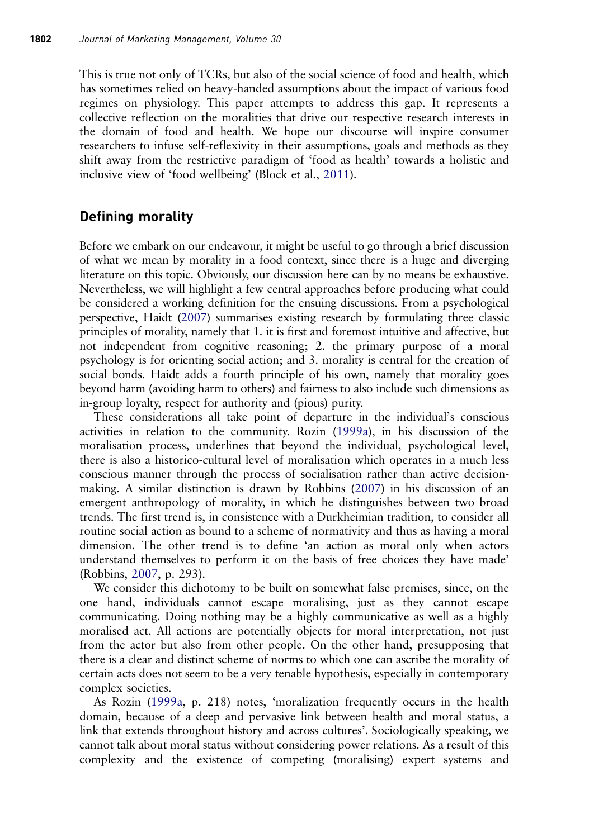This is true not only of TCRs, but also of the social science of food and health, which has sometimes relied on heavy-handed assumptions about the impact of various food regimes on physiology. This paper attempts to address this gap. It represents a collective reflection on the moralities that drive our respective research interests in the domain of food and health. We hope our discourse will inspire consumer researchers to infuse self-reflexivity in their assumptions, goals and methods as they shift away from the restrictive paradigm of 'food as health' towards a holistic and inclusive view of 'food wellbeing' (Block et al., [2011](#page-23-0)).

### Defining morality

Before we embark on our endeavour, it might be useful to go through a brief discussion of what we mean by morality in a food context, since there is a huge and diverging literature on this topic. Obviously, our discussion here can by no means be exhaustive. Nevertheless, we will highlight a few central approaches before producing what could be considered a working definition for the ensuing discussions. From a psychological perspective, Haidt ([2007](#page-25-0)) summarises existing research by formulating three classic principles of morality, namely that 1. it is first and foremost intuitive and affective, but not independent from cognitive reasoning; 2. the primary purpose of a moral psychology is for orienting social action; and 3. morality is central for the creation of social bonds. Haidt adds a fourth principle of his own, namely that morality goes beyond harm (avoiding harm to others) and fairness to also include such dimensions as in-group loyalty, respect for authority and (pious) purity.

These considerations all take point of departure in the individual's conscious activities in relation to the community. Rozin ([1999a](#page-28-0)), in his discussion of the moralisation process, underlines that beyond the individual, psychological level, there is also a historico-cultural level of moralisation which operates in a much less conscious manner through the process of socialisation rather than active decisionmaking. A similar distinction is drawn by Robbins [\(2007](#page-27-0)) in his discussion of an emergent anthropology of morality, in which he distinguishes between two broad trends. The first trend is, in consistence with a Durkheimian tradition, to consider all routine social action as bound to a scheme of normativity and thus as having a moral dimension. The other trend is to define 'an action as moral only when actors understand themselves to perform it on the basis of free choices they have made' (Robbins, [2007](#page-27-0), p. 293).

We consider this dichotomy to be built on somewhat false premises, since, on the one hand, individuals cannot escape moralising, just as they cannot escape communicating. Doing nothing may be a highly communicative as well as a highly moralised act. All actions are potentially objects for moral interpretation, not just from the actor but also from other people. On the other hand, presupposing that there is a clear and distinct scheme of norms to which one can ascribe the morality of certain acts does not seem to be a very tenable hypothesis, especially in contemporary complex societies.

As Rozin [\(1999a](#page-28-0), p. 218) notes, 'moralization frequently occurs in the health domain, because of a deep and pervasive link between health and moral status, a link that extends throughout history and across cultures'. Sociologically speaking, we cannot talk about moral status without considering power relations. As a result of this complexity and the existence of competing (moralising) expert systems and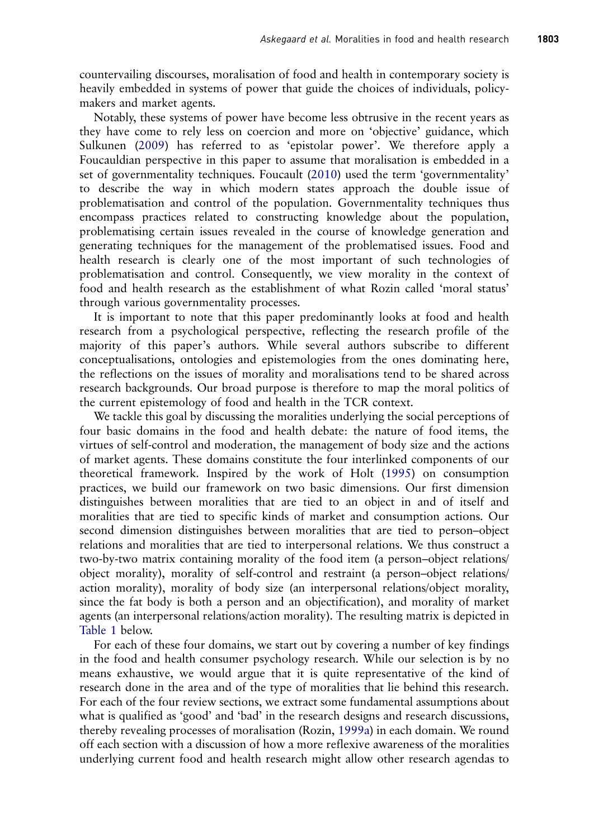countervailing discourses, moralisation of food and health in contemporary society is heavily embedded in systems of power that guide the choices of individuals, policymakers and market agents.

Notably, these systems of power have become less obtrusive in the recent years as they have come to rely less on coercion and more on 'objective' guidance, which Sulkunen [\(2009](#page-29-0)) has referred to as 'epistolar power'. We therefore apply a Foucauldian perspective in this paper to assume that moralisation is embedded in a set of governmentality techniques. Foucault ([2010\)](#page-25-0) used the term 'governmentality' to describe the way in which modern states approach the double issue of problematisation and control of the population. Governmentality techniques thus encompass practices related to constructing knowledge about the population, problematising certain issues revealed in the course of knowledge generation and generating techniques for the management of the problematised issues. Food and health research is clearly one of the most important of such technologies of problematisation and control. Consequently, we view morality in the context of food and health research as the establishment of what Rozin called 'moral status' through various governmentality processes.

It is important to note that this paper predominantly looks at food and health research from a psychological perspective, reflecting the research profile of the majority of this paper's authors. While several authors subscribe to different conceptualisations, ontologies and epistemologies from the ones dominating here, the reflections on the issues of morality and moralisations tend to be shared across research backgrounds. Our broad purpose is therefore to map the moral politics of the current epistemology of food and health in the TCR context.

We tackle this goal by discussing the moralities underlying the social perceptions of four basic domains in the food and health debate: the nature of food items, the virtues of self-control and moderation, the management of body size and the actions of market agents. These domains constitute the four interlinked components of our theoretical framework. Inspired by the work of Holt ([1995\)](#page-25-0) on consumption practices, we build our framework on two basic dimensions. Our first dimension distinguishes between moralities that are tied to an object in and of itself and moralities that are tied to specific kinds of market and consumption actions. Our second dimension distinguishes between moralities that are tied to person–object relations and moralities that are tied to interpersonal relations. We thus construct a two-by-two matrix containing morality of the food item (a person–object relations/ object morality), morality of self-control and restraint (a person–object relations/ action morality), morality of body size (an interpersonal relations/object morality, since the fat body is both a person and an objectification), and morality of market agents (an interpersonal relations/action morality). The resulting matrix is depicted in [Table 1](#page-4-0) below.

For each of these four domains, we start out by covering a number of key findings in the food and health consumer psychology research. While our selection is by no means exhaustive, we would argue that it is quite representative of the kind of research done in the area and of the type of moralities that lie behind this research. For each of the four review sections, we extract some fundamental assumptions about what is qualified as 'good' and 'bad' in the research designs and research discussions, thereby revealing processes of moralisation (Rozin, [1999a\)](#page-28-0) in each domain. We round off each section with a discussion of how a more reflexive awareness of the moralities underlying current food and health research might allow other research agendas to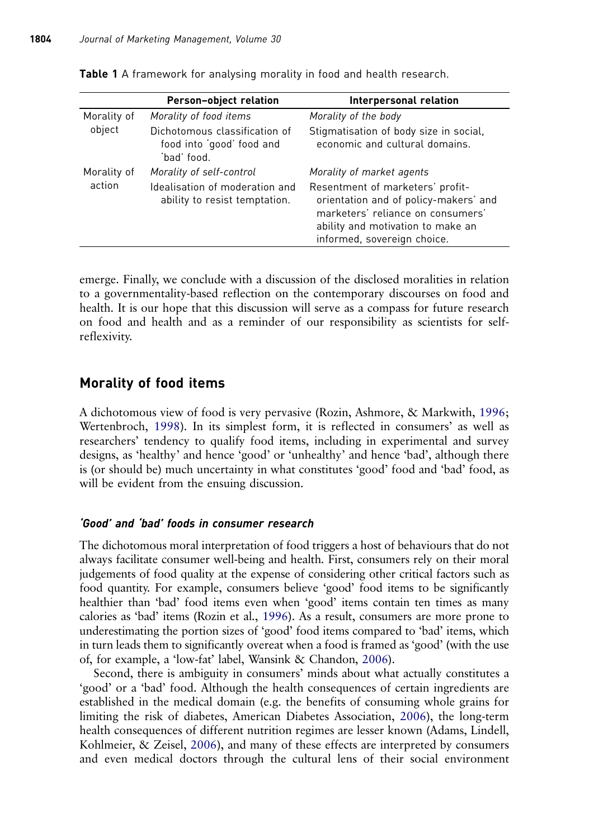|                       | Person-object relation                                                    | Interpersonal relation                                                                                                                                                             |
|-----------------------|---------------------------------------------------------------------------|------------------------------------------------------------------------------------------------------------------------------------------------------------------------------------|
| Morality of<br>object | Morality of food items                                                    | Morality of the body                                                                                                                                                               |
|                       | Dichotomous classification of<br>food into 'good' food and<br>ʻhad' food. | Stigmatisation of body size in social,<br>economic and cultural domains.                                                                                                           |
| Morality of<br>action | Morality of self-control                                                  | Morality of market agents                                                                                                                                                          |
|                       | Idealisation of moderation and<br>ability to resist temptation.           | Resentment of marketers' profit-<br>orientation and of policy-makers' and<br>marketers' reliance on consumers'<br>ability and motivation to make an<br>informed, sovereign choice. |

<span id="page-4-0"></span>Table 1 A framework for analysing morality in food and health research.

emerge. Finally, we conclude with a discussion of the disclosed moralities in relation to a governmentality-based reflection on the contemporary discourses on food and health. It is our hope that this discussion will serve as a compass for future research on food and health and as a reminder of our responsibility as scientists for selfreflexivity.

### Morality of food items

A dichotomous view of food is very pervasive (Rozin, Ashmore, & Markwith, [1996](#page-28-0); Wertenbroch, [1998\)](#page-30-0). In its simplest form, it is reflected in consumers' as well as researchers' tendency to qualify food items, including in experimental and survey designs, as 'healthy' and hence 'good' or 'unhealthy' and hence 'bad', although there is (or should be) much uncertainty in what constitutes 'good' food and 'bad' food, as will be evident from the ensuing discussion.

### 'Good' and 'bad' foods in consumer research

The dichotomous moral interpretation of food triggers a host of behaviours that do not always facilitate consumer well-being and health. First, consumers rely on their moral judgements of food quality at the expense of considering other critical factors such as food quantity. For example, consumers believe 'good' food items to be significantly healthier than 'bad' food items even when 'good' items contain ten times as many calories as 'bad' items (Rozin et al., [1996](#page-28-0)). As a result, consumers are more prone to underestimating the portion sizes of 'good' food items compared to 'bad' items, which in turn leads them to significantly overeat when a food is framed as 'good' (with the use of, for example, a 'low-fat' label, Wansink & Chandon, [2006](#page-29-0)).

Second, there is ambiguity in consumers' minds about what actually constitutes a 'good' or a 'bad' food. Although the health consequences of certain ingredients are established in the medical domain (e.g. the benefits of consuming whole grains for limiting the risk of diabetes, American Diabetes Association, [2006](#page-22-0)), the long-term health consequences of different nutrition regimes are lesser known (Adams, Lindell, Kohlmeier, & Zeisel, [2006\)](#page-22-0), and many of these effects are interpreted by consumers and even medical doctors through the cultural lens of their social environment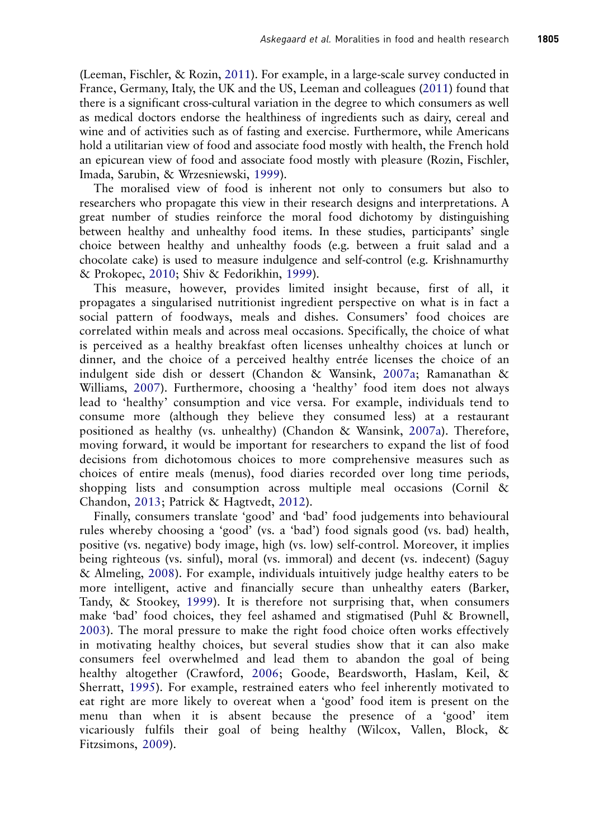(Leeman, Fischler, & Rozin, [2011](#page-26-0)). For example, in a large-scale survey conducted in France, Germany, Italy, the UK and the US, Leeman and colleagues [\(2011](#page-26-0)) found that there is a significant cross-cultural variation in the degree to which consumers as well as medical doctors endorse the healthiness of ingredients such as dairy, cereal and wine and of activities such as of fasting and exercise. Furthermore, while Americans hold a utilitarian view of food and associate food mostly with health, the French hold an epicurean view of food and associate food mostly with pleasure (Rozin, Fischler, Imada, Sarubin, & Wrzesniewski, [1999\)](#page-28-0).

The moralised view of food is inherent not only to consumers but also to researchers who propagate this view in their research designs and interpretations. A great number of studies reinforce the moral food dichotomy by distinguishing between healthy and unhealthy food items. In these studies, participants' single choice between healthy and unhealthy foods (e.g. between a fruit salad and a chocolate cake) is used to measure indulgence and self-control (e.g. Krishnamurthy & Prokopec, [2010](#page-26-0); Shiv & Fedorikhin, [1999\)](#page-29-0).

This measure, however, provides limited insight because, first of all, it propagates a singularised nutritionist ingredient perspective on what is in fact a social pattern of foodways, meals and dishes. Consumers' food choices are correlated within meals and across meal occasions. Specifically, the choice of what is perceived as a healthy breakfast often licenses unhealthy choices at lunch or dinner, and the choice of a perceived healthy entrée licenses the choice of an indulgent side dish or dessert (Chandon & Wansink, [2007a](#page-23-0); Ramanathan & Williams, [2007](#page-27-0)). Furthermore, choosing a 'healthy' food item does not always lead to 'healthy' consumption and vice versa. For example, individuals tend to consume more (although they believe they consumed less) at a restaurant positioned as healthy (vs. unhealthy) (Chandon & Wansink, [2007a\)](#page-23-0). Therefore, moving forward, it would be important for researchers to expand the list of food decisions from dichotomous choices to more comprehensive measures such as choices of entire meals (menus), food diaries recorded over long time periods, shopping lists and consumption across multiple meal occasions (Cornil & Chandon, [2013](#page-24-0); Patrick & Hagtvedt, [2012](#page-27-0)).

Finally, consumers translate 'good' and 'bad' food judgements into behavioural rules whereby choosing a 'good' (vs. a 'bad') food signals good (vs. bad) health, positive (vs. negative) body image, high (vs. low) self-control. Moreover, it implies being righteous (vs. sinful), moral (vs. immoral) and decent (vs. indecent) (Saguy & Almeling, [2008\)](#page-28-0). For example, individuals intuitively judge healthy eaters to be more intelligent, active and financially secure than unhealthy eaters (Barker, Tandy, & Stookey, [1999\)](#page-22-0). It is therefore not surprising that, when consumers make 'bad' food choices, they feel ashamed and stigmatised (Puhl & Brownell, [2003](#page-27-0)). The moral pressure to make the right food choice often works effectively in motivating healthy choices, but several studies show that it can also make consumers feel overwhelmed and lead them to abandon the goal of being healthy altogether (Crawford, [2006;](#page-24-0) Goode, Beardsworth, Haslam, Keil, & Sherratt, [1995\)](#page-25-0). For example, restrained eaters who feel inherently motivated to eat right are more likely to overeat when a 'good' food item is present on the menu than when it is absent because the presence of a 'good' item vicariously fulfils their goal of being healthy (Wilcox, Vallen, Block, & Fitzsimons, [2009\)](#page-30-0).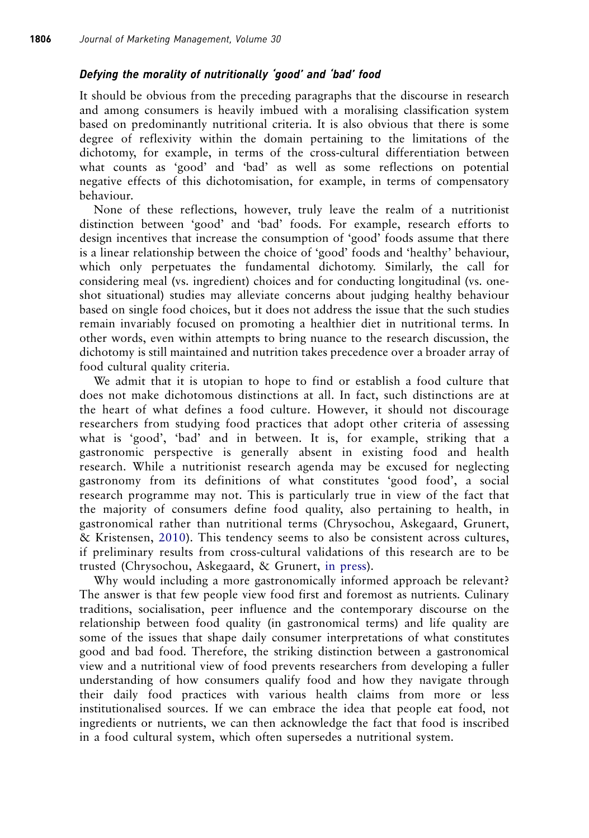### Defying the morality of nutritionally 'good' and 'bad' food

It should be obvious from the preceding paragraphs that the discourse in research and among consumers is heavily imbued with a moralising classification system based on predominantly nutritional criteria. It is also obvious that there is some degree of reflexivity within the domain pertaining to the limitations of the dichotomy, for example, in terms of the cross-cultural differentiation between what counts as 'good' and 'bad' as well as some reflections on potential negative effects of this dichotomisation, for example, in terms of compensatory behaviour.

None of these reflections, however, truly leave the realm of a nutritionist distinction between 'good' and 'bad' foods. For example, research efforts to design incentives that increase the consumption of 'good' foods assume that there is a linear relationship between the choice of 'good' foods and 'healthy' behaviour, which only perpetuates the fundamental dichotomy. Similarly, the call for considering meal (vs. ingredient) choices and for conducting longitudinal (vs. oneshot situational) studies may alleviate concerns about judging healthy behaviour based on single food choices, but it does not address the issue that the such studies remain invariably focused on promoting a healthier diet in nutritional terms. In other words, even within attempts to bring nuance to the research discussion, the dichotomy is still maintained and nutrition takes precedence over a broader array of food cultural quality criteria.

We admit that it is utopian to hope to find or establish a food culture that does not make dichotomous distinctions at all. In fact, such distinctions are at the heart of what defines a food culture. However, it should not discourage researchers from studying food practices that adopt other criteria of assessing what is 'good', 'bad' and in between. It is, for example, striking that a gastronomic perspective is generally absent in existing food and health research. While a nutritionist research agenda may be excused for neglecting gastronomy from its definitions of what constitutes 'good food', a social research programme may not. This is particularly true in view of the fact that the majority of consumers define food quality, also pertaining to health, in gastronomical rather than nutritional terms (Chrysochou, Askegaard, Grunert, & Kristensen, [2010\)](#page-24-0). This tendency seems to also be consistent across cultures, if preliminary results from cross-cultural validations of this research are to be trusted (Chrysochou, Askegaard, & Grunert, [in press](#page-24-0)).

Why would including a more gastronomically informed approach be relevant? The answer is that few people view food first and foremost as nutrients. Culinary traditions, socialisation, peer influence and the contemporary discourse on the relationship between food quality (in gastronomical terms) and life quality are some of the issues that shape daily consumer interpretations of what constitutes good and bad food. Therefore, the striking distinction between a gastronomical view and a nutritional view of food prevents researchers from developing a fuller understanding of how consumers qualify food and how they navigate through their daily food practices with various health claims from more or less institutionalised sources. If we can embrace the idea that people eat food, not ingredients or nutrients, we can then acknowledge the fact that food is inscribed in a food cultural system, which often supersedes a nutritional system.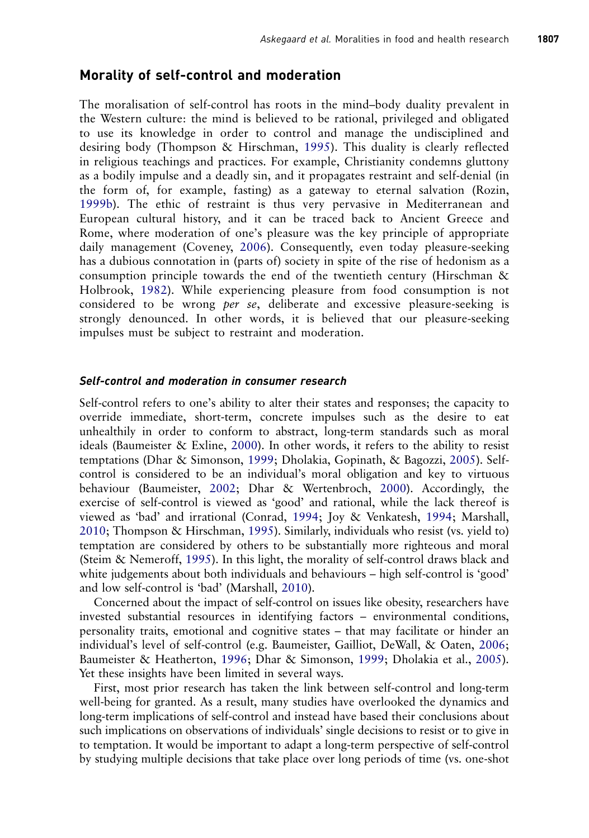### Morality of self-control and moderation

The moralisation of self-control has roots in the mind–body duality prevalent in the Western culture: the mind is believed to be rational, privileged and obligated to use its knowledge in order to control and manage the undisciplined and desiring body (Thompson & Hirschman, [1995](#page-29-0)). This duality is clearly reflected in religious teachings and practices. For example, Christianity condemns gluttony as a bodily impulse and a deadly sin, and it propagates restraint and self-denial (in the form of, for example, fasting) as a gateway to eternal salvation (Rozin, [1999b](#page-28-0)). The ethic of restraint is thus very pervasive in Mediterranean and European cultural history, and it can be traced back to Ancient Greece and Rome, where moderation of one's pleasure was the key principle of appropriate daily management (Coveney, [2006](#page-24-0)). Consequently, even today pleasure-seeking has a dubious connotation in (parts of) society in spite of the rise of hedonism as a consumption principle towards the end of the twentieth century (Hirschman & Holbrook, [1982](#page-25-0)). While experiencing pleasure from food consumption is not considered to be wrong per se, deliberate and excessive pleasure-seeking is strongly denounced. In other words, it is believed that our pleasure-seeking impulses must be subject to restraint and moderation.

### Self-control and moderation in consumer research

Self-control refers to one's ability to alter their states and responses; the capacity to override immediate, short-term, concrete impulses such as the desire to eat unhealthily in order to conform to abstract, long-term standards such as moral ideals (Baumeister & Exline, [2000\)](#page-23-0). In other words, it refers to the ability to resist temptations (Dhar & Simonson, [1999](#page-24-0); Dholakia, Gopinath, & Bagozzi, [2005\)](#page-24-0). Selfcontrol is considered to be an individual's moral obligation and key to virtuous behaviour (Baumeister, [2002;](#page-23-0) Dhar & Wertenbroch, [2000](#page-24-0)). Accordingly, the exercise of self-control is viewed as 'good' and rational, while the lack thereof is viewed as 'bad' and irrational (Conrad, [1994;](#page-24-0) Joy & Venkatesh, [1994;](#page-25-0) Marshall, [2010;](#page-26-0) Thompson & Hirschman, [1995\)](#page-29-0). Similarly, individuals who resist (vs. yield to) temptation are considered by others to be substantially more righteous and moral (Steim & Nemeroff, [1995](#page-29-0)). In this light, the morality of self-control draws black and white judgements about both individuals and behaviours – high self-control is 'good' and low self-control is 'bad' (Marshall, [2010](#page-26-0)).

Concerned about the impact of self-control on issues like obesity, researchers have invested substantial resources in identifying factors – environmental conditions, personality traits, emotional and cognitive states – that may facilitate or hinder an individual's level of self-control (e.g. Baumeister, Gailliot, DeWall, & Oaten, [2006](#page-23-0); Baumeister & Heatherton, [1996](#page-23-0); Dhar & Simonson, [1999;](#page-24-0) Dholakia et al., [2005\)](#page-24-0). Yet these insights have been limited in several ways.

First, most prior research has taken the link between self-control and long-term well-being for granted. As a result, many studies have overlooked the dynamics and long-term implications of self-control and instead have based their conclusions about such implications on observations of individuals' single decisions to resist or to give in to temptation. It would be important to adapt a long-term perspective of self-control by studying multiple decisions that take place over long periods of time (vs. one-shot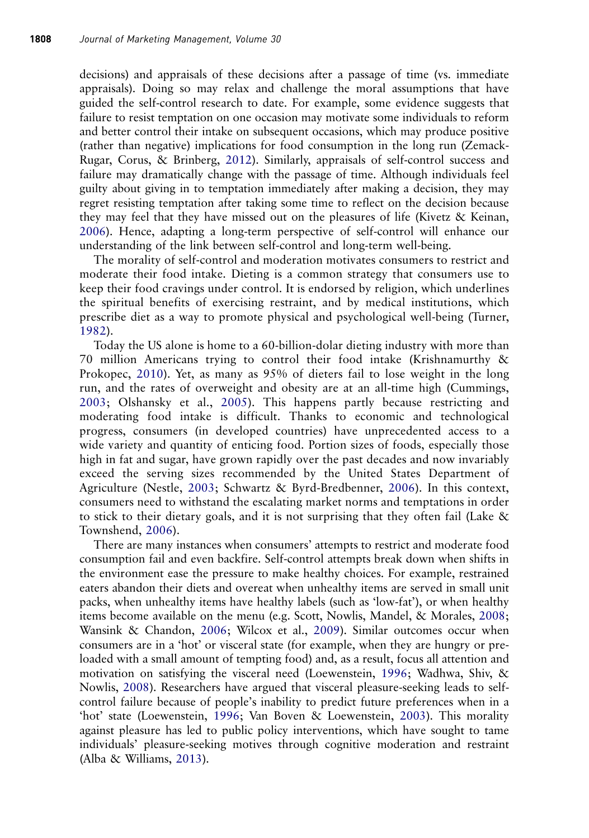decisions) and appraisals of these decisions after a passage of time (vs. immediate appraisals). Doing so may relax and challenge the moral assumptions that have guided the self-control research to date. For example, some evidence suggests that failure to resist temptation on one occasion may motivate some individuals to reform and better control their intake on subsequent occasions, which may produce positive (rather than negative) implications for food consumption in the long run (Zemack-Rugar, Corus, & Brinberg, [2012](#page-30-0)). Similarly, appraisals of self-control success and failure may dramatically change with the passage of time. Although individuals feel guilty about giving in to temptation immediately after making a decision, they may regret resisting temptation after taking some time to reflect on the decision because they may feel that they have missed out on the pleasures of life (Kivetz & Keinan, [2006\)](#page-26-0). Hence, adapting a long-term perspective of self-control will enhance our understanding of the link between self-control and long-term well-being.

The morality of self-control and moderation motivates consumers to restrict and moderate their food intake. Dieting is a common strategy that consumers use to keep their food cravings under control. It is endorsed by religion, which underlines the spiritual benefits of exercising restraint, and by medical institutions, which prescribe diet as a way to promote physical and psychological well-being (Turner, [1982](#page-29-0)).

Today the US alone is home to a 60-billion-dolar dieting industry with more than 70 million Americans trying to control their food intake (Krishnamurthy & Prokopec, [2010\)](#page-26-0). Yet, as many as 95% of dieters fail to lose weight in the long run, and the rates of overweight and obesity are at an all-time high (Cummings, [2003](#page-24-0); Olshansky et al., [2005\)](#page-27-0). This happens partly because restricting and moderating food intake is difficult. Thanks to economic and technological progress, consumers (in developed countries) have unprecedented access to a wide variety and quantity of enticing food. Portion sizes of foods, especially those high in fat and sugar, have grown rapidly over the past decades and now invariably exceed the serving sizes recommended by the United States Department of Agriculture (Nestle, [2003;](#page-27-0) Schwartz & Byrd-Bredbenner, [2006\)](#page-28-0). In this context, consumers need to withstand the escalating market norms and temptations in order to stick to their dietary goals, and it is not surprising that they often fail (Lake & Townshend, [2006\)](#page-26-0).

There are many instances when consumers' attempts to restrict and moderate food consumption fail and even backfire. Self-control attempts break down when shifts in the environment ease the pressure to make healthy choices. For example, restrained eaters abandon their diets and overeat when unhealthy items are served in small unit packs, when unhealthy items have healthy labels (such as 'low-fat'), or when healthy items become available on the menu (e.g. Scott, Nowlis, Mandel, & Morales, [2008](#page-28-0); Wansink & Chandon, [2006](#page-29-0); Wilcox et al., [2009\)](#page-30-0). Similar outcomes occur when consumers are in a 'hot' or visceral state (for example, when they are hungry or preloaded with a small amount of tempting food) and, as a result, focus all attention and motivation on satisfying the visceral need (Loewenstein, [1996](#page-26-0); Wadhwa, Shiv, & Nowlis, [2008](#page-29-0)). Researchers have argued that visceral pleasure-seeking leads to selfcontrol failure because of people's inability to predict future preferences when in a 'hot' state (Loewenstein, [1996;](#page-26-0) Van Boven & Loewenstein, [2003](#page-29-0)). This morality against pleasure has led to public policy interventions, which have sought to tame individuals' pleasure-seeking motives through cognitive moderation and restraint (Alba & Williams, [2013](#page-22-0)).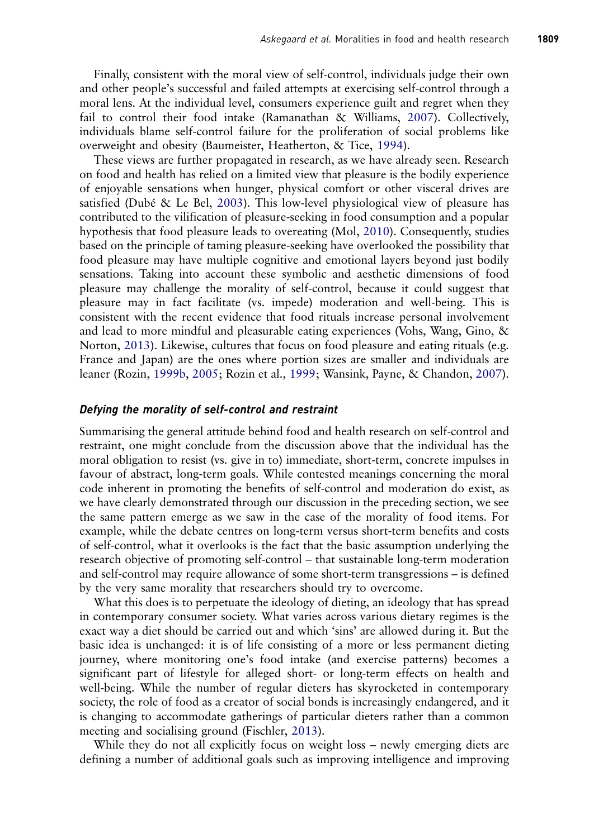Finally, consistent with the moral view of self-control, individuals judge their own and other people's successful and failed attempts at exercising self-control through a moral lens. At the individual level, consumers experience guilt and regret when they fail to control their food intake (Ramanathan & Williams, [2007](#page-27-0)). Collectively, individuals blame self-control failure for the proliferation of social problems like overweight and obesity (Baumeister, Heatherton, & Tice, [1994\)](#page-23-0).

These views are further propagated in research, as we have already seen. Research on food and health has relied on a limited view that pleasure is the bodily experience of enjoyable sensations when hunger, physical comfort or other visceral drives are satisfied (Dubé & Le Bel, [2003\)](#page-24-0). This low-level physiological view of pleasure has contributed to the vilification of pleasure-seeking in food consumption and a popular hypothesis that food pleasure leads to overeating (Mol, [2010](#page-27-0)). Consequently, studies based on the principle of taming pleasure-seeking have overlooked the possibility that food pleasure may have multiple cognitive and emotional layers beyond just bodily sensations. Taking into account these symbolic and aesthetic dimensions of food pleasure may challenge the morality of self-control, because it could suggest that pleasure may in fact facilitate (vs. impede) moderation and well-being. This is consistent with the recent evidence that food rituals increase personal involvement and lead to more mindful and pleasurable eating experiences (Vohs, Wang, Gino, & Norton, [2013](#page-29-0)). Likewise, cultures that focus on food pleasure and eating rituals (e.g. France and Japan) are the ones where portion sizes are smaller and individuals are leaner (Rozin, [1999b,](#page-28-0) [2005](#page-28-0); Rozin et al., [1999](#page-28-0); Wansink, Payne, & Chandon, [2007\)](#page-29-0).

#### Defying the morality of self-control and restraint

Summarising the general attitude behind food and health research on self-control and restraint, one might conclude from the discussion above that the individual has the moral obligation to resist (vs. give in to) immediate, short-term, concrete impulses in favour of abstract, long-term goals. While contested meanings concerning the moral code inherent in promoting the benefits of self-control and moderation do exist, as we have clearly demonstrated through our discussion in the preceding section, we see the same pattern emerge as we saw in the case of the morality of food items. For example, while the debate centres on long-term versus short-term benefits and costs of self-control, what it overlooks is the fact that the basic assumption underlying the research objective of promoting self-control – that sustainable long-term moderation and self-control may require allowance of some short-term transgressions – is defined by the very same morality that researchers should try to overcome.

What this does is to perpetuate the ideology of dieting, an ideology that has spread in contemporary consumer society. What varies across various dietary regimes is the exact way a diet should be carried out and which 'sins' are allowed during it. But the basic idea is unchanged: it is of life consisting of a more or less permanent dieting journey, where monitoring one's food intake (and exercise patterns) becomes a significant part of lifestyle for alleged short- or long-term effects on health and well-being. While the number of regular dieters has skyrocketed in contemporary society, the role of food as a creator of social bonds is increasingly endangered, and it is changing to accommodate gatherings of particular dieters rather than a common meeting and socialising ground (Fischler, [2013](#page-24-0)).

While they do not all explicitly focus on weight loss – newly emerging diets are defining a number of additional goals such as improving intelligence and improving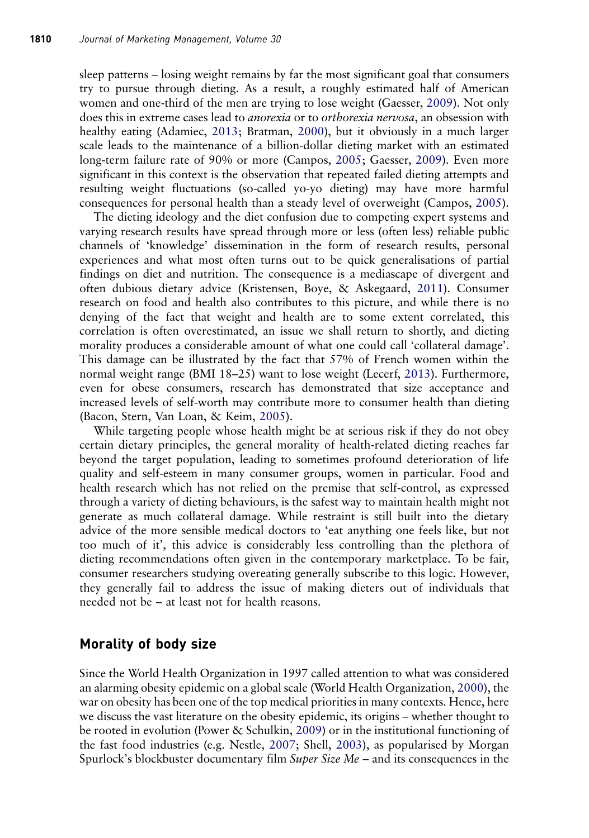sleep patterns – losing weight remains by far the most significant goal that consumers try to pursue through dieting. As a result, a roughly estimated half of American women and one-third of the men are trying to lose weight (Gaesser, [2009\)](#page-25-0). Not only does this in extreme cases lead to anorexia or to orthorexia nervosa, an obsession with healthy eating (Adamiec, [2013;](#page-22-0) Bratman, [2000\)](#page-23-0), but it obviously in a much larger scale leads to the maintenance of a billion-dollar dieting market with an estimated long-term failure rate of 90% or more (Campos, [2005](#page-23-0); Gaesser, [2009](#page-25-0)). Even more significant in this context is the observation that repeated failed dieting attempts and resulting weight fluctuations (so-called yo-yo dieting) may have more harmful consequences for personal health than a steady level of overweight (Campos, [2005\)](#page-23-0).

The dieting ideology and the diet confusion due to competing expert systems and varying research results have spread through more or less (often less) reliable public channels of 'knowledge' dissemination in the form of research results, personal experiences and what most often turns out to be quick generalisations of partial findings on diet and nutrition. The consequence is a mediascape of divergent and often dubious dietary advice (Kristensen, Boye, & Askegaard, [2011\)](#page-26-0). Consumer research on food and health also contributes to this picture, and while there is no denying of the fact that weight and health are to some extent correlated, this correlation is often overestimated, an issue we shall return to shortly, and dieting morality produces a considerable amount of what one could call 'collateral damage'. This damage can be illustrated by the fact that 57% of French women within the normal weight range (BMI 18–25) want to lose weight (Lecerf, [2013\)](#page-26-0). Furthermore, even for obese consumers, research has demonstrated that size acceptance and increased levels of self-worth may contribute more to consumer health than dieting (Bacon, Stern, Van Loan, & Keim, [2005](#page-22-0)).

While targeting people whose health might be at serious risk if they do not obey certain dietary principles, the general morality of health-related dieting reaches far beyond the target population, leading to sometimes profound deterioration of life quality and self-esteem in many consumer groups, women in particular. Food and health research which has not relied on the premise that self-control, as expressed through a variety of dieting behaviours, is the safest way to maintain health might not generate as much collateral damage. While restraint is still built into the dietary advice of the more sensible medical doctors to 'eat anything one feels like, but not too much of it', this advice is considerably less controlling than the plethora of dieting recommendations often given in the contemporary marketplace. To be fair, consumer researchers studying overeating generally subscribe to this logic. However, they generally fail to address the issue of making dieters out of individuals that needed not be – at least not for health reasons.

# Morality of body size

Since the World Health Organization in 1997 called attention to what was considered an alarming obesity epidemic on a global scale (World Health Organization, [2000](#page-30-0)), the war on obesity has been one of the top medical priorities in many contexts. Hence, here we discuss the vast literature on the obesity epidemic, its origins – whether thought to be rooted in evolution (Power & Schulkin, [2009\)](#page-27-0) or in the institutional functioning of the fast food industries (e.g. Nestle, [2007;](#page-27-0) Shell, [2003\)](#page-28-0), as popularised by Morgan Spurlock's blockbuster documentary film Super Size Me – and its consequences in the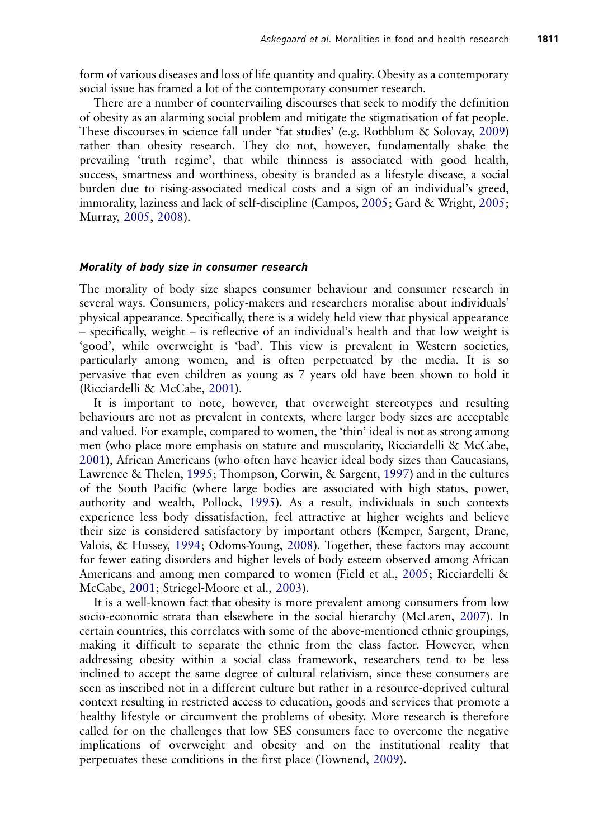form of various diseases and loss of life quantity and quality. Obesity as a contemporary social issue has framed a lot of the contemporary consumer research.

There are a number of countervailing discourses that seek to modify the definition of obesity as an alarming social problem and mitigate the stigmatisation of fat people. These discourses in science fall under 'fat studies' (e.g. Rothblum & Solovay, [2009](#page-27-0)) rather than obesity research. They do not, however, fundamentally shake the prevailing 'truth regime', that while thinness is associated with good health, success, smartness and worthiness, obesity is branded as a lifestyle disease, a social burden due to rising-associated medical costs and a sign of an individual's greed, immorality, laziness and lack of self-discipline (Campos, [2005](#page-23-0); Gard & Wright, [2005](#page-25-0); Murray, [2005,](#page-27-0) [2008\)](#page-27-0).

#### Morality of body size in consumer research

The morality of body size shapes consumer behaviour and consumer research in several ways. Consumers, policy-makers and researchers moralise about individuals' physical appearance. Specifically, there is a widely held view that physical appearance – specifically, weight – is reflective of an individual's health and that low weight is 'good', while overweight is 'bad'. This view is prevalent in Western societies, particularly among women, and is often perpetuated by the media. It is so pervasive that even children as young as 7 years old have been shown to hold it (Ricciardelli & McCabe, [2001\)](#page-27-0).

It is important to note, however, that overweight stereotypes and resulting behaviours are not as prevalent in contexts, where larger body sizes are acceptable and valued. For example, compared to women, the 'thin' ideal is not as strong among men (who place more emphasis on stature and muscularity, Ricciardelli & McCabe, [2001\)](#page-27-0), African Americans (who often have heavier ideal body sizes than Caucasians, Lawrence & Thelen, [1995](#page-26-0); Thompson, Corwin, & Sargent, [1997](#page-29-0)) and in the cultures of the South Pacific (where large bodies are associated with high status, power, authority and wealth, Pollock, [1995\)](#page-27-0). As a result, individuals in such contexts experience less body dissatisfaction, feel attractive at higher weights and believe their size is considered satisfactory by important others (Kemper, Sargent, Drane, Valois, & Hussey, [1994](#page-25-0); Odoms-Young, [2008\)](#page-27-0). Together, these factors may account for fewer eating disorders and higher levels of body esteem observed among African Americans and among men compared to women (Field et al., [2005](#page-24-0); Ricciardelli & McCabe, [2001](#page-27-0); Striegel-Moore et al., [2003](#page-29-0)).

It is a well-known fact that obesity is more prevalent among consumers from low socio-economic strata than elsewhere in the social hierarchy (McLaren, [2007](#page-26-0)). In certain countries, this correlates with some of the above-mentioned ethnic groupings, making it difficult to separate the ethnic from the class factor. However, when addressing obesity within a social class framework, researchers tend to be less inclined to accept the same degree of cultural relativism, since these consumers are seen as inscribed not in a different culture but rather in a resource-deprived cultural context resulting in restricted access to education, goods and services that promote a healthy lifestyle or circumvent the problems of obesity. More research is therefore called for on the challenges that low SES consumers face to overcome the negative implications of overweight and obesity and on the institutional reality that perpetuates these conditions in the first place (Townend, [2009\)](#page-29-0).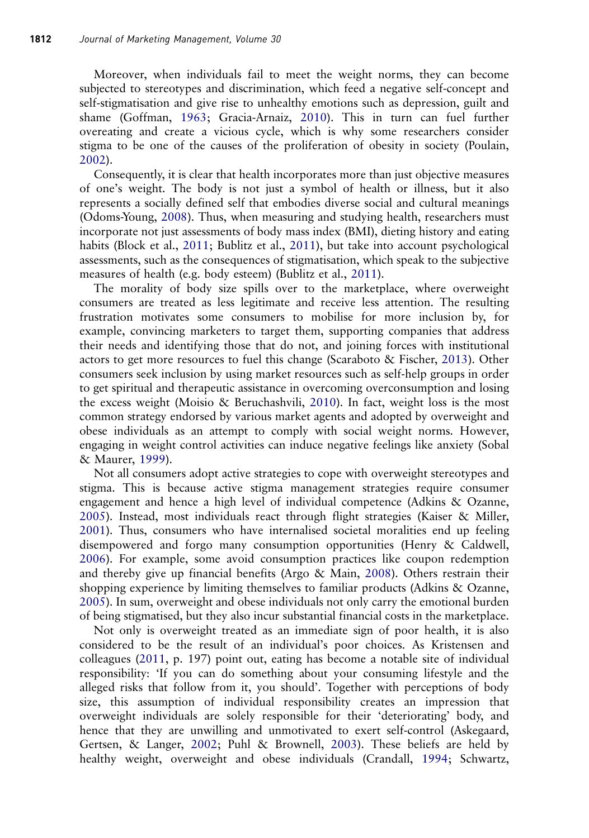Moreover, when individuals fail to meet the weight norms, they can become subjected to stereotypes and discrimination, which feed a negative self-concept and self-stigmatisation and give rise to unhealthy emotions such as depression, guilt and shame (Goffman, [1963](#page-25-0); Gracia-Arnaiz, [2010\)](#page-25-0). This in turn can fuel further overeating and create a vicious cycle, which is why some researchers consider stigma to be one of the causes of the proliferation of obesity in society (Poulain, [2002\)](#page-27-0).

Consequently, it is clear that health incorporates more than just objective measures of one's weight. The body is not just a symbol of health or illness, but it also represents a socially defined self that embodies diverse social and cultural meanings (Odoms-Young, [2008](#page-27-0)). Thus, when measuring and studying health, researchers must incorporate not just assessments of body mass index (BMI), dieting history and eating habits (Block et al., [2011](#page-23-0); Bublitz et al., [2011\)](#page-23-0), but take into account psychological assessments, such as the consequences of stigmatisation, which speak to the subjective measures of health (e.g. body esteem) (Bublitz et al., [2011](#page-23-0)).

The morality of body size spills over to the marketplace, where overweight consumers are treated as less legitimate and receive less attention. The resulting frustration motivates some consumers to mobilise for more inclusion by, for example, convincing marketers to target them, supporting companies that address their needs and identifying those that do not, and joining forces with institutional actors to get more resources to fuel this change (Scaraboto & Fischer, [2013](#page-28-0)). Other consumers seek inclusion by using market resources such as self-help groups in order to get spiritual and therapeutic assistance in overcoming overconsumption and losing the excess weight (Moisio & Beruchashvili, [2010\)](#page-27-0). In fact, weight loss is the most common strategy endorsed by various market agents and adopted by overweight and obese individuals as an attempt to comply with social weight norms. However, engaging in weight control activities can induce negative feelings like anxiety (Sobal & Maurer, [1999\)](#page-29-0).

Not all consumers adopt active strategies to cope with overweight stereotypes and stigma. This is because active stigma management strategies require consumer engagement and hence a high level of individual competence (Adkins & Ozanne, [2005\)](#page-22-0). Instead, most individuals react through flight strategies (Kaiser & Miller, [2001\)](#page-25-0). Thus, consumers who have internalised societal moralities end up feeling disempowered and forgo many consumption opportunities (Henry & Caldwell, [2006\)](#page-25-0). For example, some avoid consumption practices like coupon redemption and thereby give up financial benefits (Argo & Main, [2008\)](#page-22-0). Others restrain their shopping experience by limiting themselves to familiar products (Adkins & Ozanne, [2005\)](#page-22-0). In sum, overweight and obese individuals not only carry the emotional burden of being stigmatised, but they also incur substantial financial costs in the marketplace.

Not only is overweight treated as an immediate sign of poor health, it is also considered to be the result of an individual's poor choices. As Kristensen and colleagues ([2011,](#page-26-0) p. 197) point out, eating has become a notable site of individual responsibility: 'If you can do something about your consuming lifestyle and the alleged risks that follow from it, you should'. Together with perceptions of body size, this assumption of individual responsibility creates an impression that overweight individuals are solely responsible for their 'deteriorating' body, and hence that they are unwilling and unmotivated to exert self-control (Askegaard, Gertsen, & Langer, [2002](#page-22-0); Puhl & Brownell, [2003](#page-27-0)). These beliefs are held by healthy weight, overweight and obese individuals (Crandall, [1994](#page-24-0); Schwartz,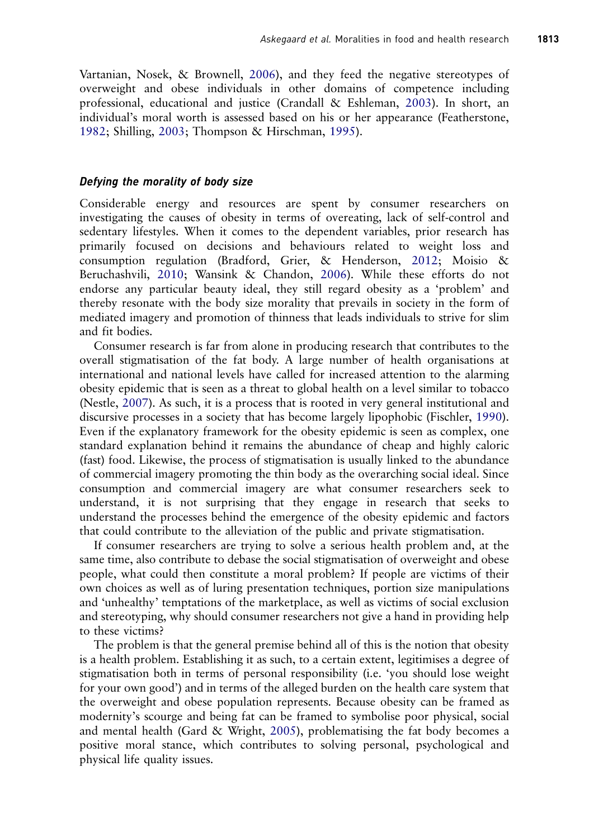Vartanian, Nosek, & Brownell, [2006\)](#page-28-0), and they feed the negative stereotypes of overweight and obese individuals in other domains of competence including professional, educational and justice (Crandall & Eshleman, [2003\)](#page-24-0). In short, an individual's moral worth is assessed based on his or her appearance (Featherstone, [1982;](#page-24-0) Shilling, [2003;](#page-29-0) Thompson & Hirschman, [1995](#page-29-0)).

### Defying the morality of body size

Considerable energy and resources are spent by consumer researchers on investigating the causes of obesity in terms of overeating, lack of self-control and sedentary lifestyles. When it comes to the dependent variables, prior research has primarily focused on decisions and behaviours related to weight loss and consumption regulation (Bradford, Grier, & Henderson, [2012;](#page-23-0) Moisio & Beruchashvili, [2010;](#page-27-0) Wansink & Chandon, [2006\)](#page-29-0). While these efforts do not endorse any particular beauty ideal, they still regard obesity as a 'problem' and thereby resonate with the body size morality that prevails in society in the form of mediated imagery and promotion of thinness that leads individuals to strive for slim and fit bodies.

Consumer research is far from alone in producing research that contributes to the overall stigmatisation of the fat body. A large number of health organisations at international and national levels have called for increased attention to the alarming obesity epidemic that is seen as a threat to global health on a level similar to tobacco (Nestle, [2007](#page-27-0)). As such, it is a process that is rooted in very general institutional and discursive processes in a society that has become largely lipophobic (Fischler, [1990\)](#page-24-0). Even if the explanatory framework for the obesity epidemic is seen as complex, one standard explanation behind it remains the abundance of cheap and highly caloric (fast) food. Likewise, the process of stigmatisation is usually linked to the abundance of commercial imagery promoting the thin body as the overarching social ideal. Since consumption and commercial imagery are what consumer researchers seek to understand, it is not surprising that they engage in research that seeks to understand the processes behind the emergence of the obesity epidemic and factors that could contribute to the alleviation of the public and private stigmatisation.

If consumer researchers are trying to solve a serious health problem and, at the same time, also contribute to debase the social stigmatisation of overweight and obese people, what could then constitute a moral problem? If people are victims of their own choices as well as of luring presentation techniques, portion size manipulations and 'unhealthy' temptations of the marketplace, as well as victims of social exclusion and stereotyping, why should consumer researchers not give a hand in providing help to these victims?

The problem is that the general premise behind all of this is the notion that obesity is a health problem. Establishing it as such, to a certain extent, legitimises a degree of stigmatisation both in terms of personal responsibility (i.e. 'you should lose weight for your own good') and in terms of the alleged burden on the health care system that the overweight and obese population represents. Because obesity can be framed as modernity's scourge and being fat can be framed to symbolise poor physical, social and mental health (Gard & Wright,  $2005$ ), problematising the fat body becomes a positive moral stance, which contributes to solving personal, psychological and physical life quality issues.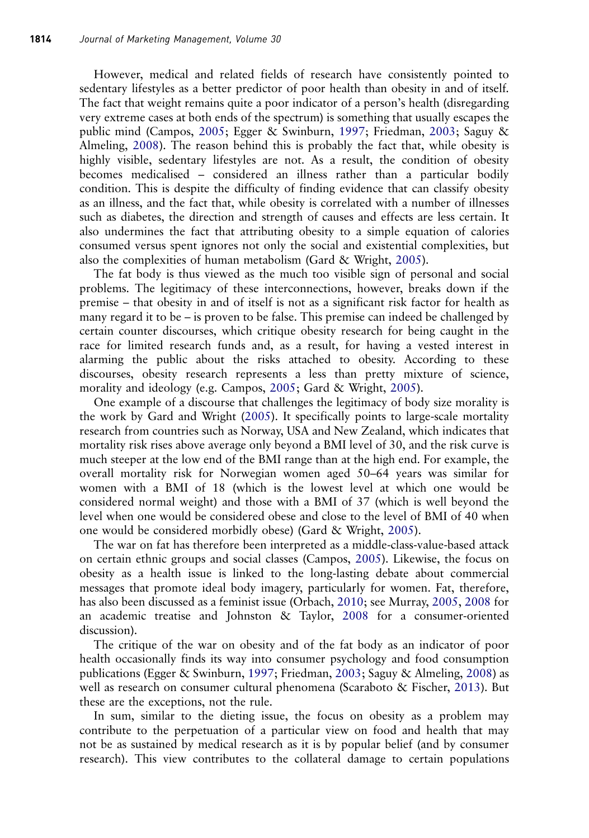However, medical and related fields of research have consistently pointed to sedentary lifestyles as a better predictor of poor health than obesity in and of itself. The fact that weight remains quite a poor indicator of a person's health (disregarding very extreme cases at both ends of the spectrum) is something that usually escapes the public mind (Campos, [2005;](#page-23-0) Egger & Swinburn, [1997;](#page-24-0) Friedman, [2003;](#page-25-0) Saguy & Almeling, [2008](#page-28-0)). The reason behind this is probably the fact that, while obesity is highly visible, sedentary lifestyles are not. As a result, the condition of obesity becomes medicalised – considered an illness rather than a particular bodily condition. This is despite the difficulty of finding evidence that can classify obesity as an illness, and the fact that, while obesity is correlated with a number of illnesses such as diabetes, the direction and strength of causes and effects are less certain. It also undermines the fact that attributing obesity to a simple equation of calories consumed versus spent ignores not only the social and existential complexities, but also the complexities of human metabolism (Gard & Wright, [2005\)](#page-25-0).

The fat body is thus viewed as the much too visible sign of personal and social problems. The legitimacy of these interconnections, however, breaks down if the premise – that obesity in and of itself is not as a significant risk factor for health as many regard it to be – is proven to be false. This premise can indeed be challenged by certain counter discourses, which critique obesity research for being caught in the race for limited research funds and, as a result, for having a vested interest in alarming the public about the risks attached to obesity. According to these discourses, obesity research represents a less than pretty mixture of science, morality and ideology (e.g. Campos, [2005](#page-23-0); Gard & Wright, [2005](#page-25-0)).

One example of a discourse that challenges the legitimacy of body size morality is the work by Gard and Wright [\(2005](#page-25-0)). It specifically points to large-scale mortality research from countries such as Norway, USA and New Zealand, which indicates that mortality risk rises above average only beyond a BMI level of 30, and the risk curve is much steeper at the low end of the BMI range than at the high end. For example, the overall mortality risk for Norwegian women aged 50–64 years was similar for women with a BMI of 18 (which is the lowest level at which one would be considered normal weight) and those with a BMI of 37 (which is well beyond the level when one would be considered obese and close to the level of BMI of 40 when one would be considered morbidly obese) (Gard & Wright, [2005](#page-25-0)).

The war on fat has therefore been interpreted as a middle-class-value-based attack on certain ethnic groups and social classes (Campos, [2005\)](#page-23-0). Likewise, the focus on obesity as a health issue is linked to the long-lasting debate about commercial messages that promote ideal body imagery, particularly for women. Fat, therefore, has also been discussed as a feminist issue (Orbach, [2010;](#page-27-0) see Murray, [2005](#page-27-0), [2008](#page-27-0) for an academic treatise and Johnston & Taylor, [2008](#page-25-0) for a consumer-oriented discussion).

The critique of the war on obesity and of the fat body as an indicator of poor health occasionally finds its way into consumer psychology and food consumption publications (Egger & Swinburn, [1997;](#page-24-0) Friedman, [2003;](#page-25-0) Saguy & Almeling, [2008\)](#page-28-0) as well as research on consumer cultural phenomena (Scaraboto & Fischer, [2013\)](#page-28-0). But these are the exceptions, not the rule.

In sum, similar to the dieting issue, the focus on obesity as a problem may contribute to the perpetuation of a particular view on food and health that may not be as sustained by medical research as it is by popular belief (and by consumer research). This view contributes to the collateral damage to certain populations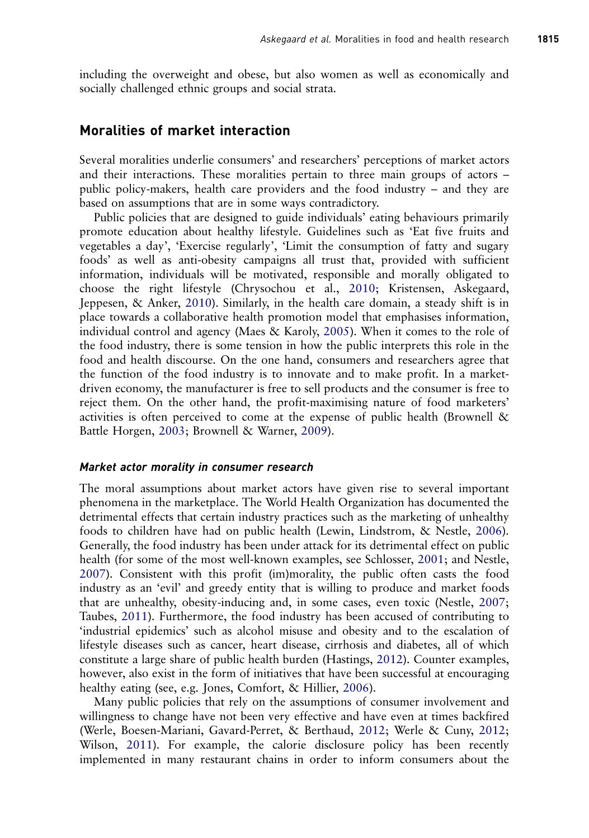including the overweight and obese, but also women as well as economically and socially challenged ethnic groups and social strata.

### Moralities of market interaction

Several moralities underlie consumers' and researchers' perceptions of market actors and their interactions. These moralities pertain to three main groups of actors – public policy-makers, health care providers and the food industry – and they are based on assumptions that are in some ways contradictory.

Public policies that are designed to guide individuals' eating behaviours primarily promote education about healthy lifestyle. Guidelines such as 'Eat five fruits and vegetables a day', 'Exercise regularly', 'Limit the consumption of fatty and sugary foods' as well as anti-obesity campaigns all trust that, provided with sufficient information, individuals will be motivated, responsible and morally obligated to choose the right lifestyle (Chrysochou et al., [2010](#page-24-0); Kristensen, Askegaard, Jeppesen, & Anker, [2010](#page-26-0)). Similarly, in the health care domain, a steady shift is in place towards a collaborative health promotion model that emphasises information, individual control and agency (Maes & Karoly, [2005](#page-26-0)). When it comes to the role of the food industry, there is some tension in how the public interprets this role in the food and health discourse. On the one hand, consumers and researchers agree that the function of the food industry is to innovate and to make profit. In a marketdriven economy, the manufacturer is free to sell products and the consumer is free to reject them. On the other hand, the profit-maximising nature of food marketers' activities is often perceived to come at the expense of public health (Brownell & Battle Horgen, [2003](#page-23-0); Brownell & Warner, [2009](#page-23-0)).

### Market actor morality in consumer research

The moral assumptions about market actors have given rise to several important phenomena in the marketplace. The World Health Organization has documented the detrimental effects that certain industry practices such as the marketing of unhealthy foods to children have had on public health (Lewin, Lindstrom, & Nestle, [2006\)](#page-26-0). Generally, the food industry has been under attack for its detrimental effect on public health (for some of the most well-known examples, see Schlosser, [2001](#page-28-0); and Nestle, [2007\)](#page-27-0). Consistent with this profit (im)morality, the public often casts the food industry as an 'evil' and greedy entity that is willing to produce and market foods that are unhealthy, obesity-inducing and, in some cases, even toxic (Nestle, [2007](#page-27-0); Taubes, [2011\)](#page-29-0). Furthermore, the food industry has been accused of contributing to 'industrial epidemics' such as alcohol misuse and obesity and to the escalation of lifestyle diseases such as cancer, heart disease, cirrhosis and diabetes, all of which constitute a large share of public health burden (Hastings, [2012\)](#page-25-0). Counter examples, however, also exist in the form of initiatives that have been successful at encouraging healthy eating (see, e.g. Jones, Comfort, & Hillier, [2006](#page-25-0)).

Many public policies that rely on the assumptions of consumer involvement and willingness to change have not been very effective and have even at times backfired (Werle, Boesen-Mariani, Gavard-Perret, & Berthaud, [2012;](#page-29-0) Werle & Cuny, [2012](#page-29-0); Wilson, [2011](#page-30-0)). For example, the calorie disclosure policy has been recently implemented in many restaurant chains in order to inform consumers about the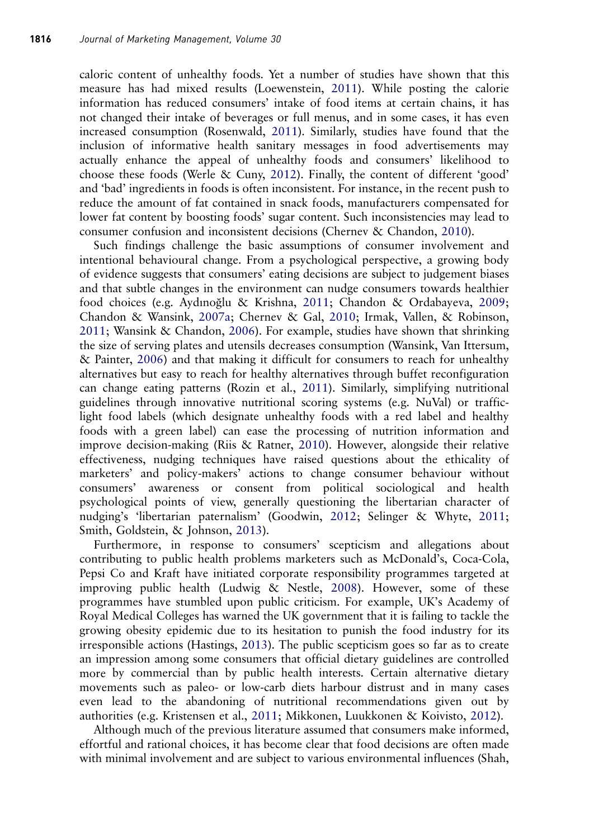caloric content of unhealthy foods. Yet a number of studies have shown that this measure has had mixed results (Loewenstein, [2011\)](#page-26-0). While posting the calorie information has reduced consumers' intake of food items at certain chains, it has not changed their intake of beverages or full menus, and in some cases, it has even increased consumption (Rosenwald, [2011\)](#page-27-0). Similarly, studies have found that the inclusion of informative health sanitary messages in food advertisements may actually enhance the appeal of unhealthy foods and consumers' likelihood to choose these foods (Werle & Cuny, [2012\)](#page-29-0). Finally, the content of different 'good' and 'bad' ingredients in foods is often inconsistent. For instance, in the recent push to reduce the amount of fat contained in snack foods, manufacturers compensated for lower fat content by boosting foods' sugar content. Such inconsistencies may lead to consumer confusion and inconsistent decisions (Chernev & Chandon, [2010\)](#page-23-0).

Such findings challenge the basic assumptions of consumer involvement and intentional behavioural change. From a psychological perspective, a growing body of evidence suggests that consumers' eating decisions are subject to judgement biases and that subtle changes in the environment can nudge consumers towards healthier food choices (e.g. Aydınoğlu & Krishna, [2011;](#page-22-0) Chandon & Ordabayeva, [2009](#page-23-0); Chandon & Wansink, [2007a;](#page-23-0) Chernev & Gal, [2010;](#page-24-0) Irmak, Vallen, & Robinson, [2011;](#page-25-0) Wansink & Chandon, [2006\)](#page-29-0). For example, studies have shown that shrinking the size of serving plates and utensils decreases consumption (Wansink, Van Ittersum, & Painter, [2006\)](#page-29-0) and that making it difficult for consumers to reach for unhealthy alternatives but easy to reach for healthy alternatives through buffet reconfiguration can change eating patterns (Rozin et al., [2011](#page-28-0)). Similarly, simplifying nutritional guidelines through innovative nutritional scoring systems (e.g. NuVal) or trafficlight food labels (which designate unhealthy foods with a red label and healthy foods with a green label) can ease the processing of nutrition information and improve decision-making (Riis & Ratner, [2010](#page-27-0)). However, alongside their relative effectiveness, nudging techniques have raised questions about the ethicality of marketers' and policy-makers' actions to change consumer behaviour without consumers' awareness or consent from political sociological and health psychological points of view, generally questioning the libertarian character of nudging's 'libertarian paternalism' (Goodwin, [2012;](#page-25-0) Selinger & Whyte, [2011](#page-28-0); Smith, Goldstein, & Johnson, [2013\)](#page-29-0).

Furthermore, in response to consumers' scepticism and allegations about contributing to public health problems marketers such as McDonald's, Coca-Cola, Pepsi Co and Kraft have initiated corporate responsibility programmes targeted at improving public health (Ludwig & Nestle, [2008](#page-26-0)). However, some of these programmes have stumbled upon public criticism. For example, UK's Academy of Royal Medical Colleges has warned the UK government that it is failing to tackle the growing obesity epidemic due to its hesitation to punish the food industry for its irresponsible actions (Hastings, [2013](#page-25-0)). The public scepticism goes so far as to create an impression among some consumers that official dietary guidelines are controlled more by commercial than by public health interests. Certain alternative dietary movements such as paleo- or low-carb diets harbour distrust and in many cases even lead to the abandoning of nutritional recommendations given out by authorities (e.g. Kristensen et al., [2011;](#page-26-0) Mikkonen, Luukkonen & Koivisto, [2012](#page-27-0)).

Although much of the previous literature assumed that consumers make informed, effortful and rational choices, it has become clear that food decisions are often made with minimal involvement and are subject to various environmental influences (Shah,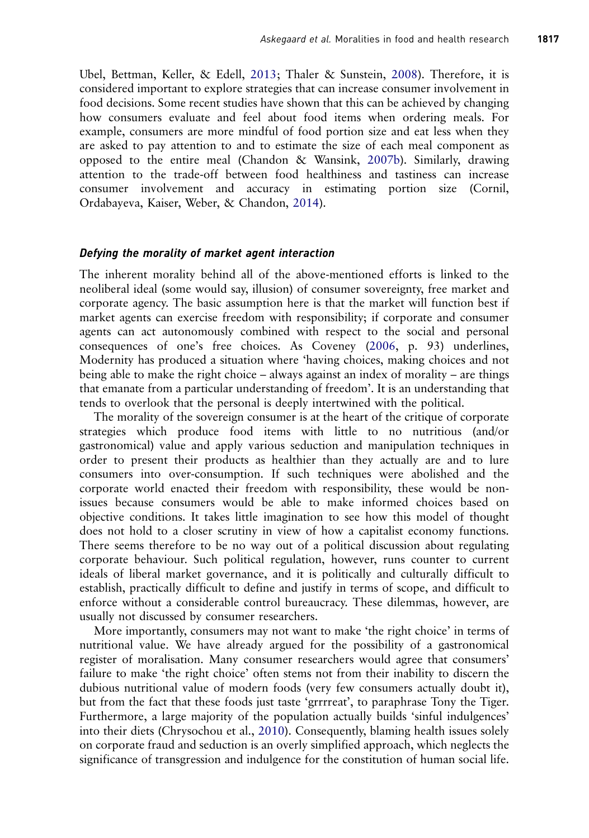Ubel, Bettman, Keller, & Edell, [2013;](#page-28-0) Thaler & Sunstein, [2008](#page-29-0)). Therefore, it is considered important to explore strategies that can increase consumer involvement in food decisions. Some recent studies have shown that this can be achieved by changing how consumers evaluate and feel about food items when ordering meals. For example, consumers are more mindful of food portion size and eat less when they are asked to pay attention to and to estimate the size of each meal component as opposed to the entire meal (Chandon & Wansink, [2007b](#page-23-0)). Similarly, drawing attention to the trade-off between food healthiness and tastiness can increase consumer involvement and accuracy in estimating portion size (Cornil, Ordabayeva, Kaiser, Weber, & Chandon, [2014](#page-24-0)).

#### Defying the morality of market agent interaction

The inherent morality behind all of the above-mentioned efforts is linked to the neoliberal ideal (some would say, illusion) of consumer sovereignty, free market and corporate agency. The basic assumption here is that the market will function best if market agents can exercise freedom with responsibility; if corporate and consumer agents can act autonomously combined with respect to the social and personal consequences of one's free choices. As Coveney [\(2006](#page-24-0), p. 93) underlines, Modernity has produced a situation where 'having choices, making choices and not being able to make the right choice – always against an index of morality – are things that emanate from a particular understanding of freedom'. It is an understanding that tends to overlook that the personal is deeply intertwined with the political.

The morality of the sovereign consumer is at the heart of the critique of corporate strategies which produce food items with little to no nutritious (and/or gastronomical) value and apply various seduction and manipulation techniques in order to present their products as healthier than they actually are and to lure consumers into over-consumption. If such techniques were abolished and the corporate world enacted their freedom with responsibility, these would be nonissues because consumers would be able to make informed choices based on objective conditions. It takes little imagination to see how this model of thought does not hold to a closer scrutiny in view of how a capitalist economy functions. There seems therefore to be no way out of a political discussion about regulating corporate behaviour. Such political regulation, however, runs counter to current ideals of liberal market governance, and it is politically and culturally difficult to establish, practically difficult to define and justify in terms of scope, and difficult to enforce without a considerable control bureaucracy. These dilemmas, however, are usually not discussed by consumer researchers.

More importantly, consumers may not want to make 'the right choice' in terms of nutritional value. We have already argued for the possibility of a gastronomical register of moralisation. Many consumer researchers would agree that consumers' failure to make 'the right choice' often stems not from their inability to discern the dubious nutritional value of modern foods (very few consumers actually doubt it), but from the fact that these foods just taste 'grrrreat', to paraphrase Tony the Tiger. Furthermore, a large majority of the population actually builds 'sinful indulgences' into their diets (Chrysochou et al., [2010](#page-24-0)). Consequently, blaming health issues solely on corporate fraud and seduction is an overly simplified approach, which neglects the significance of transgression and indulgence for the constitution of human social life.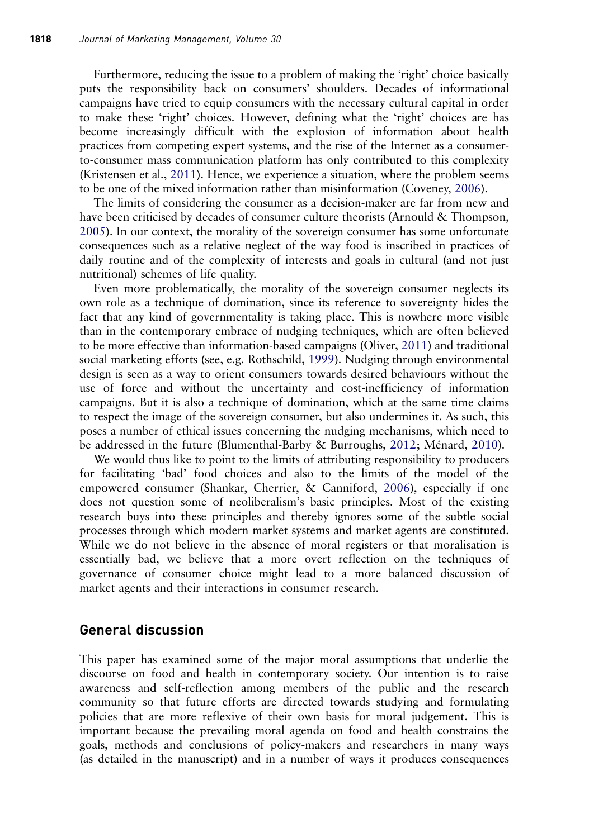Furthermore, reducing the issue to a problem of making the 'right' choice basically puts the responsibility back on consumers' shoulders. Decades of informational campaigns have tried to equip consumers with the necessary cultural capital in order to make these 'right' choices. However, defining what the 'right' choices are has become increasingly difficult with the explosion of information about health practices from competing expert systems, and the rise of the Internet as a consumerto-consumer mass communication platform has only contributed to this complexity (Kristensen et al., [2011\)](#page-26-0). Hence, we experience a situation, where the problem seems to be one of the mixed information rather than misinformation (Coveney, [2006\)](#page-24-0).

The limits of considering the consumer as a decision-maker are far from new and have been criticised by decades of consumer culture theorists (Arnould & Thompson, [2005\)](#page-22-0). In our context, the morality of the sovereign consumer has some unfortunate consequences such as a relative neglect of the way food is inscribed in practices of daily routine and of the complexity of interests and goals in cultural (and not just nutritional) schemes of life quality.

Even more problematically, the morality of the sovereign consumer neglects its own role as a technique of domination, since its reference to sovereignty hides the fact that any kind of governmentality is taking place. This is nowhere more visible than in the contemporary embrace of nudging techniques, which are often believed to be more effective than information-based campaigns (Oliver, [2011](#page-27-0)) and traditional social marketing efforts (see, e.g. Rothschild, [1999](#page-28-0)). Nudging through environmental design is seen as a way to orient consumers towards desired behaviours without the use of force and without the uncertainty and cost-inefficiency of information campaigns. But it is also a technique of domination, which at the same time claims to respect the image of the sovereign consumer, but also undermines it. As such, this poses a number of ethical issues concerning the nudging mechanisms, which need to be addressed in the future (Blumenthal-Barby & Burroughs, [2012;](#page-23-0) Ménard, [2010](#page-26-0)).

We would thus like to point to the limits of attributing responsibility to producers for facilitating 'bad' food choices and also to the limits of the model of the empowered consumer (Shankar, Cherrier, & Canniford, [2006\)](#page-28-0), especially if one does not question some of neoliberalism's basic principles. Most of the existing research buys into these principles and thereby ignores some of the subtle social processes through which modern market systems and market agents are constituted. While we do not believe in the absence of moral registers or that moralisation is essentially bad, we believe that a more overt reflection on the techniques of governance of consumer choice might lead to a more balanced discussion of market agents and their interactions in consumer research.

### General discussion

This paper has examined some of the major moral assumptions that underlie the discourse on food and health in contemporary society. Our intention is to raise awareness and self-reflection among members of the public and the research community so that future efforts are directed towards studying and formulating policies that are more reflexive of their own basis for moral judgement. This is important because the prevailing moral agenda on food and health constrains the goals, methods and conclusions of policy-makers and researchers in many ways (as detailed in the manuscript) and in a number of ways it produces consequences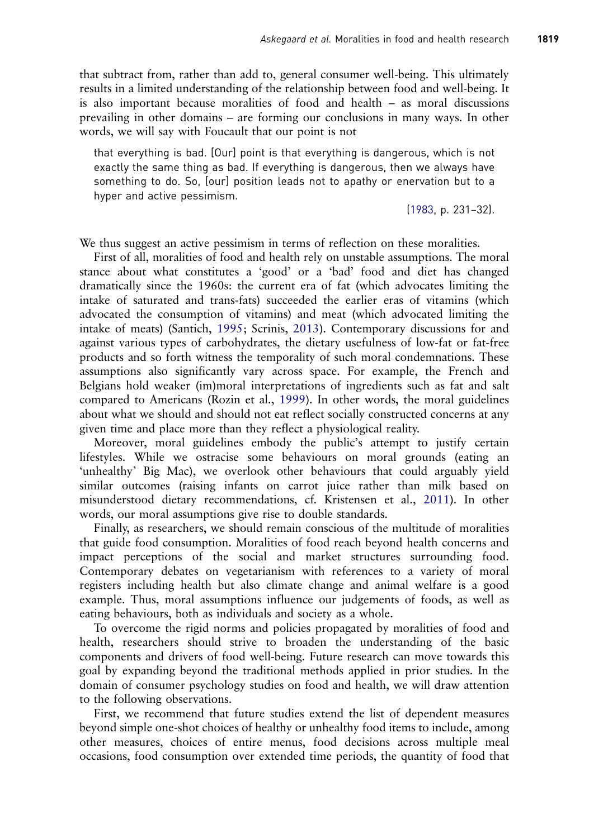that subtract from, rather than add to, general consumer well-being. This ultimately results in a limited understanding of the relationship between food and well-being. It is also important because moralities of food and health – as moral discussions prevailing in other domains – are forming our conclusions in many ways. In other words, we will say with Foucault that our point is not

that everything is bad. [Our] point is that everything is dangerous, which is not exactly the same thing as bad. If everything is dangerous, then we always have something to do. So, [our] position leads not to apathy or enervation but to a hyper and active pessimism.

([1983](#page-25-0), p. 231–32).

We thus suggest an active pessimism in terms of reflection on these moralities.

First of all, moralities of food and health rely on unstable assumptions. The moral stance about what constitutes a 'good' or a 'bad' food and diet has changed dramatically since the 1960s: the current era of fat (which advocates limiting the intake of saturated and trans-fats) succeeded the earlier eras of vitamins (which advocated the consumption of vitamins) and meat (which advocated limiting the intake of meats) (Santich, [1995;](#page-28-0) Scrinis, [2013\)](#page-28-0). Contemporary discussions for and against various types of carbohydrates, the dietary usefulness of low-fat or fat-free products and so forth witness the temporality of such moral condemnations. These assumptions also significantly vary across space. For example, the French and Belgians hold weaker (im)moral interpretations of ingredients such as fat and salt compared to Americans (Rozin et al., [1999](#page-28-0)). In other words, the moral guidelines about what we should and should not eat reflect socially constructed concerns at any given time and place more than they reflect a physiological reality.

Moreover, moral guidelines embody the public's attempt to justify certain lifestyles. While we ostracise some behaviours on moral grounds (eating an 'unhealthy' Big Mac), we overlook other behaviours that could arguably yield similar outcomes (raising infants on carrot juice rather than milk based on misunderstood dietary recommendations, cf. Kristensen et al., [2011\)](#page-26-0). In other words, our moral assumptions give rise to double standards.

Finally, as researchers, we should remain conscious of the multitude of moralities that guide food consumption. Moralities of food reach beyond health concerns and impact perceptions of the social and market structures surrounding food. Contemporary debates on vegetarianism with references to a variety of moral registers including health but also climate change and animal welfare is a good example. Thus, moral assumptions influence our judgements of foods, as well as eating behaviours, both as individuals and society as a whole.

To overcome the rigid norms and policies propagated by moralities of food and health, researchers should strive to broaden the understanding of the basic components and drivers of food well-being. Future research can move towards this goal by expanding beyond the traditional methods applied in prior studies. In the domain of consumer psychology studies on food and health, we will draw attention to the following observations.

First, we recommend that future studies extend the list of dependent measures beyond simple one-shot choices of healthy or unhealthy food items to include, among other measures, choices of entire menus, food decisions across multiple meal occasions, food consumption over extended time periods, the quantity of food that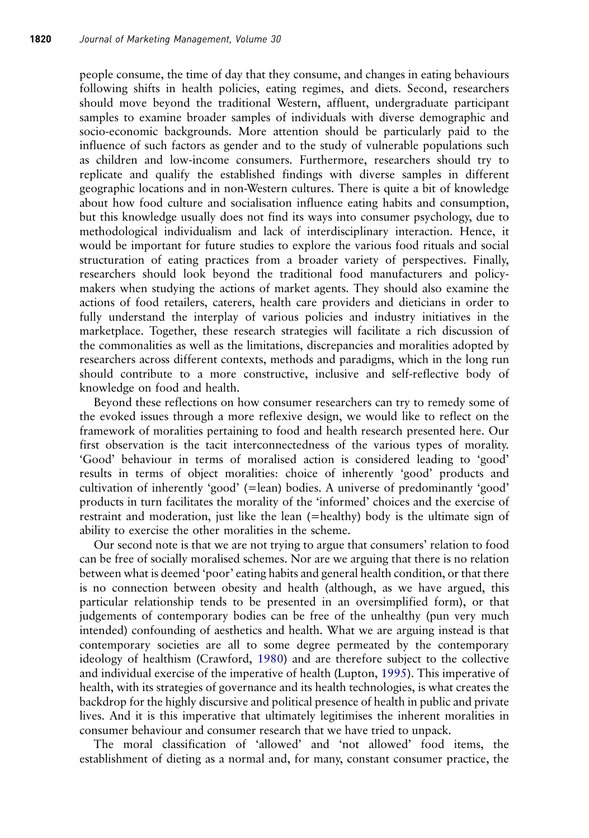people consume, the time of day that they consume, and changes in eating behaviours following shifts in health policies, eating regimes, and diets. Second, researchers should move beyond the traditional Western, affluent, undergraduate participant samples to examine broader samples of individuals with diverse demographic and socio-economic backgrounds. More attention should be particularly paid to the influence of such factors as gender and to the study of vulnerable populations such as children and low-income consumers. Furthermore, researchers should try to replicate and qualify the established findings with diverse samples in different geographic locations and in non-Western cultures. There is quite a bit of knowledge about how food culture and socialisation influence eating habits and consumption, but this knowledge usually does not find its ways into consumer psychology, due to methodological individualism and lack of interdisciplinary interaction. Hence, it would be important for future studies to explore the various food rituals and social structuration of eating practices from a broader variety of perspectives. Finally, researchers should look beyond the traditional food manufacturers and policymakers when studying the actions of market agents. They should also examine the actions of food retailers, caterers, health care providers and dieticians in order to fully understand the interplay of various policies and industry initiatives in the marketplace. Together, these research strategies will facilitate a rich discussion of the commonalities as well as the limitations, discrepancies and moralities adopted by researchers across different contexts, methods and paradigms, which in the long run should contribute to a more constructive, inclusive and self-reflective body of knowledge on food and health.

Beyond these reflections on how consumer researchers can try to remedy some of the evoked issues through a more reflexive design, we would like to reflect on the framework of moralities pertaining to food and health research presented here. Our first observation is the tacit interconnectedness of the various types of morality. 'Good' behaviour in terms of moralised action is considered leading to 'good' results in terms of object moralities: choice of inherently 'good' products and cultivation of inherently 'good' (=lean) bodies. A universe of predominantly 'good' products in turn facilitates the morality of the 'informed' choices and the exercise of restraint and moderation, just like the lean (=healthy) body is the ultimate sign of ability to exercise the other moralities in the scheme.

Our second note is that we are not trying to argue that consumers' relation to food can be free of socially moralised schemes. Nor are we arguing that there is no relation between what is deemed 'poor' eating habits and general health condition, or that there is no connection between obesity and health (although, as we have argued, this particular relationship tends to be presented in an oversimplified form), or that judgements of contemporary bodies can be free of the unhealthy (pun very much intended) confounding of aesthetics and health. What we are arguing instead is that contemporary societies are all to some degree permeated by the contemporary ideology of healthism (Crawford, [1980\)](#page-24-0) and are therefore subject to the collective and individual exercise of the imperative of health (Lupton, [1995](#page-26-0)). This imperative of health, with its strategies of governance and its health technologies, is what creates the backdrop for the highly discursive and political presence of health in public and private lives. And it is this imperative that ultimately legitimises the inherent moralities in consumer behaviour and consumer research that we have tried to unpack.

The moral classification of 'allowed' and 'not allowed' food items, the establishment of dieting as a normal and, for many, constant consumer practice, the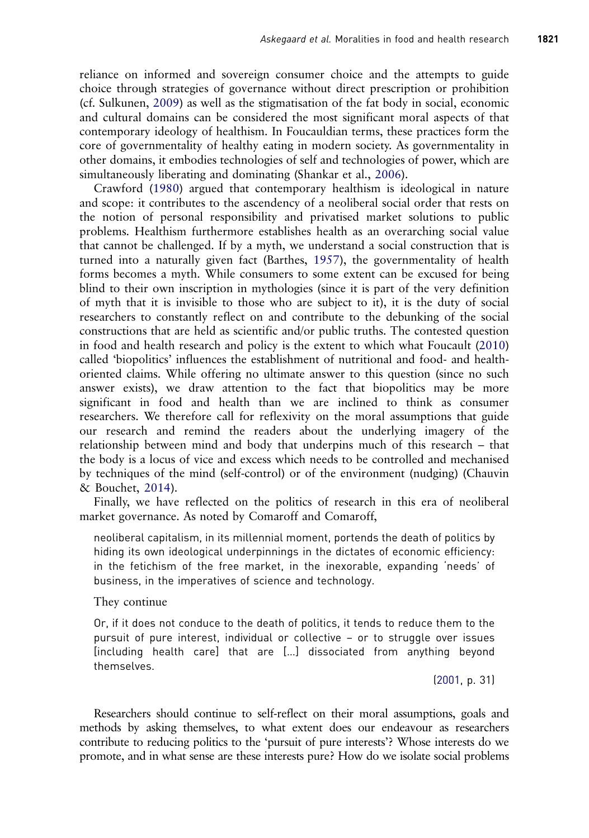reliance on informed and sovereign consumer choice and the attempts to guide choice through strategies of governance without direct prescription or prohibition (cf. Sulkunen, [2009](#page-29-0)) as well as the stigmatisation of the fat body in social, economic and cultural domains can be considered the most significant moral aspects of that contemporary ideology of healthism. In Foucauldian terms, these practices form the core of governmentality of healthy eating in modern society. As governmentality in other domains, it embodies technologies of self and technologies of power, which are simultaneously liberating and dominating (Shankar et al., [2006](#page-28-0)).

Crawford [\(1980](#page-24-0)) argued that contemporary healthism is ideological in nature and scope: it contributes to the ascendency of a neoliberal social order that rests on the notion of personal responsibility and privatised market solutions to public problems. Healthism furthermore establishes health as an overarching social value that cannot be challenged. If by a myth, we understand a social construction that is turned into a naturally given fact (Barthes, [1957](#page-22-0)), the governmentality of health forms becomes a myth. While consumers to some extent can be excused for being blind to their own inscription in mythologies (since it is part of the very definition of myth that it is invisible to those who are subject to it), it is the duty of social researchers to constantly reflect on and contribute to the debunking of the social constructions that are held as scientific and/or public truths. The contested question in food and health research and policy is the extent to which what Foucault [\(2010](#page-25-0)) called 'biopolitics' influences the establishment of nutritional and food- and healthoriented claims. While offering no ultimate answer to this question (since no such answer exists), we draw attention to the fact that biopolitics may be more significant in food and health than we are inclined to think as consumer researchers. We therefore call for reflexivity on the moral assumptions that guide our research and remind the readers about the underlying imagery of the relationship between mind and body that underpins much of this research – that the body is a locus of vice and excess which needs to be controlled and mechanised by techniques of the mind (self-control) or of the environment (nudging) (Chauvin & Bouchet, [2014\)](#page-23-0).

Finally, we have reflected on the politics of research in this era of neoliberal market governance. As noted by Comaroff and Comaroff,

neoliberal capitalism, in its millennial moment, portends the death of politics by hiding its own ideological underpinnings in the dictates of economic efficiency: in the fetichism of the free market, in the inexorable, expanding 'needs' of business, in the imperatives of science and technology.

#### They continue

Or, if it does not conduce to the death of politics, it tends to reduce them to the pursuit of pure interest, individual or collective – or to struggle over issues [including health care] that are […] dissociated from anything beyond themselves.

([2001,](#page-24-0) p. 31)

Researchers should continue to self-reflect on their moral assumptions, goals and methods by asking themselves, to what extent does our endeavour as researchers contribute to reducing politics to the 'pursuit of pure interests'? Whose interests do we promote, and in what sense are these interests pure? How do we isolate social problems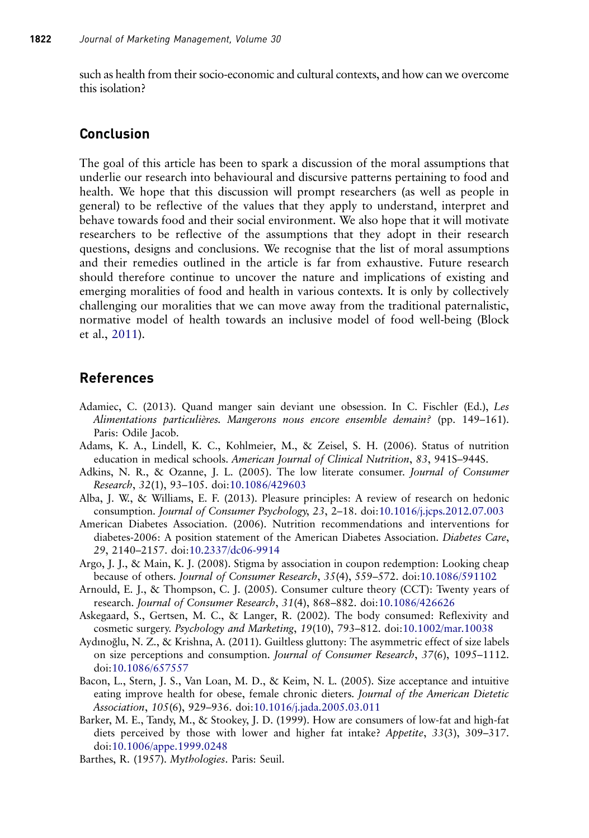<span id="page-22-0"></span>such as health from their socio-economic and cultural contexts, and how can we overcome this isolation?

## Conclusion

The goal of this article has been to spark a discussion of the moral assumptions that underlie our research into behavioural and discursive patterns pertaining to food and health. We hope that this discussion will prompt researchers (as well as people in general) to be reflective of the values that they apply to understand, interpret and behave towards food and their social environment. We also hope that it will motivate researchers to be reflective of the assumptions that they adopt in their research questions, designs and conclusions. We recognise that the list of moral assumptions and their remedies outlined in the article is far from exhaustive. Future research should therefore continue to uncover the nature and implications of existing and emerging moralities of food and health in various contexts. It is only by collectively challenging our moralities that we can move away from the traditional paternalistic, normative model of health towards an inclusive model of food well-being (Block et al., [2011\)](#page-23-0).

# References

- Adamiec, C. (2013). Quand manger sain deviant une obsession. In C. Fischler (Ed.), Les Alimentations particulières. Mangerons nous encore ensemble demain? (pp. 149–161). Paris: Odile Jacob.
- Adams, K. A., Lindell, K. C., Kohlmeier, M., & Zeisel, S. H. (2006). Status of nutrition education in medical schools. American Journal of Clinical Nutrition, 83, 941S–944S.
- Adkins, N. R., & Ozanne, J. L. (2005). The low literate consumer. Journal of Consumer Research, 32(1), 93–105. doi[:10.1086/429603](http://dx.doi.org/10.1086/429603)
- Alba, J. W., & Williams, E. F. (2013). Pleasure principles: A review of research on hedonic consumption. Journal of Consumer Psychology, 23, 2–18. doi[:10.1016/j.jcps.2012.07.003](http://dx.doi.org/10.1016/j.jcps.2012.07.003)
- American Diabetes Association. (2006). Nutrition recommendations and interventions for diabetes-2006: A position statement of the American Diabetes Association. Diabetes Care, 29, 2140–2157. doi:[10.2337/dc06-9914](http://dx.doi.org/10.2337/dc06-9914)
- Argo, J. J., & Main, K. J. (2008). Stigma by association in coupon redemption: Looking cheap because of others. Journal of Consumer Research, 35(4), 559–572. doi[:10.1086/591102](http://dx.doi.org/10.1086/591102)
- Arnould, E. J., & Thompson, C. J. (2005). Consumer culture theory (CCT): Twenty years of research. Journal of Consumer Research, 31(4), 868–882. doi[:10.1086/426626](http://dx.doi.org/10.1086/426626)
- Askegaard, S., Gertsen, M. C., & Langer, R. (2002). The body consumed: Reflexivity and cosmetic surgery. Psychology and Marketing, 19(10), 793–812. doi[:10.1002/mar.10038](http://dx.doi.org/10.1002/mar.10038)
- Aydınoğlu, N. Z., & Krishna, A. (2011). Guiltless gluttony: The asymmetric effect of size labels on size perceptions and consumption. Journal of Consumer Research, 37(6), 1095–1112. doi:[10.1086/657557](http://dx.doi.org/10.1086/657557)
- Bacon, L., Stern, J. S., Van Loan, M. D., & Keim, N. L. (2005). Size acceptance and intuitive eating improve health for obese, female chronic dieters. Journal of the American Dietetic Association, 105(6), 929–936. doi:[10.1016/j.jada.2005.03.011](http://dx.doi.org/10.1016/j.jada.2005.03.011)
- Barker, M. E., Tandy, M., & Stookey, J. D. (1999). How are consumers of low-fat and high-fat diets perceived by those with lower and higher fat intake? Appetite, 33(3), 309–317. doi:[10.1006/appe.1999.0248](http://dx.doi.org/10.1006/appe.1999.0248)
- Barthes, R. (1957). Mythologies. Paris: Seuil.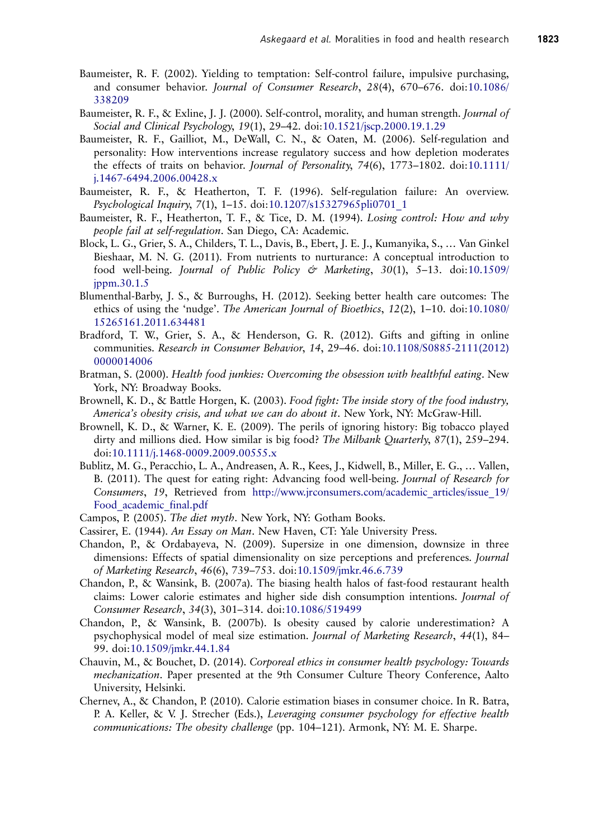- <span id="page-23-0"></span>Baumeister, R. F. (2002). Yielding to temptation: Self-control failure, impulsive purchasing, and consumer behavior. Journal of Consumer Research, 28(4), 670–676. doi[:10.1086/](http://dx.doi.org/10.1086/338209) [338209](http://dx.doi.org/10.1086/338209)
- Baumeister, R. F., & Exline, J. J. (2000). Self-control, morality, and human strength. *Journal of* Social and Clinical Psychology, 19(1), 29–42. doi[:10.1521/jscp.2000.19.1.29](http://dx.doi.org/10.1521/jscp.2000.19.1.29)
- Baumeister, R. F., Gailliot, M., DeWall, C. N., & Oaten, M. (2006). Self-regulation and personality: How interventions increase regulatory success and how depletion moderates the effects of traits on behavior. Journal of Personality, 74(6), 1773–1802. doi[:10.1111/](http://dx.doi.org/10.1111/j.1467-6494.2006.00428.x) [j.1467-6494.2006.00428.x](http://dx.doi.org/10.1111/j.1467-6494.2006.00428.x)
- Baumeister, R. F., & Heatherton, T. F. (1996). Self-regulation failure: An overview. Psychological Inquiry, 7(1), 1–15. doi:[10.1207/s15327965pli0701\\_1](http://dx.doi.org/10.1207/s15327965pli0701%5F1)
- Baumeister, R. F., Heatherton, T. F., & Tice, D. M. (1994). Losing control: How and why people fail at self-regulation. San Diego, CA: Academic.
- Block, L. G., Grier, S. A., Childers, T. L., Davis, B., Ebert, J. E. J., Kumanyika, S., … Van Ginkel Bieshaar, M. N. G. (2011). From nutrients to nurturance: A conceptual introduction to food well-being. *Journal of Public Policy & Marketing*,  $30(1)$ ,  $5-13$ , doi[:10.1509/](http://dx.doi.org/10.1509/jppm.30.1.5) [jppm.30.1.5](http://dx.doi.org/10.1509/jppm.30.1.5)
- Blumenthal-Barby, J. S., & Burroughs, H. (2012). Seeking better health care outcomes: The ethics of using the 'nudge'. The American Journal of Bioethics,  $12(2)$ ,  $1-10$ , doi[:10.1080/](http://dx.doi.org/10.1080/15265161.2011.634481) [15265161.2011.634481](http://dx.doi.org/10.1080/15265161.2011.634481)
- Bradford, T. W., Grier, S. A., & Henderson, G. R. (2012). Gifts and gifting in online communities. Research in Consumer Behavior, 14, 29–46. doi:[10.1108/S0885-2111\(2012\)](http://dx.doi.org/10.1108/S0885-2111(2012)0000014006) [0000014006](http://dx.doi.org/10.1108/S0885-2111(2012)0000014006)
- Bratman, S. (2000). Health food junkies: Overcoming the obsession with healthful eating. New York, NY: Broadway Books.
- Brownell, K. D., & Battle Horgen, K. (2003). Food fight: The inside story of the food industry, America's obesity crisis, and what we can do about it. New York, NY: McGraw-Hill.
- Brownell, K. D., & Warner, K. E. (2009). The perils of ignoring history: Big tobacco played dirty and millions died. How similar is big food? The Milbank Quarterly, 87(1), 259-294. doi:[10.1111/j.1468-0009.2009.00555.x](http://dx.doi.org/10.1111/j.1468-0009.2009.00555.x)
- Bublitz, M. G., Peracchio, L. A., Andreasen, A. R., Kees, J., Kidwell, B., Miller, E. G., … Vallen, B. (2011). The quest for eating right: Advancing food well-being. Journal of Research for Consumers, 19, Retrieved from [http://www.jrconsumers.com/academic\\_articles/issue\\_19/](http://www.jrconsumers.com/academic_articles/issue_19/Food_academic_final.pdf) Food academic final.pdf
- Campos, P. (2005). The diet myth. New York, NY: Gotham Books.
- Cassirer, E. (1944). An Essay on Man. New Haven, CT: Yale University Press.
- Chandon, P., & Ordabayeva, N. (2009). Supersize in one dimension, downsize in three dimensions: Effects of spatial dimensionality on size perceptions and preferences. Journal of Marketing Research, 46(6), 739–753. doi[:10.1509/jmkr.46.6.739](http://dx.doi.org/10.1509/jmkr.46.6.739)
- Chandon, P., & Wansink, B. (2007a). The biasing health halos of fast-food restaurant health claims: Lower calorie estimates and higher side dish consumption intentions. *Journal of* Consumer Research, 34(3), 301–314. doi:[10.1086/519499](http://dx.doi.org/10.1086/519499)
- Chandon, P., & Wansink, B. (2007b). Is obesity caused by calorie underestimation? A psychophysical model of meal size estimation. Journal of Marketing Research, 44(1), 84– 99. doi[:10.1509/jmkr.44.1.84](http://dx.doi.org/10.1509/jmkr.44.1.84)
- Chauvin, M., & Bouchet, D. (2014). Corporeal ethics in consumer health psychology: Towards mechanization. Paper presented at the 9th Consumer Culture Theory Conference, Aalto University, Helsinki.
- Chernev, A., & Chandon, P. (2010). Calorie estimation biases in consumer choice. In R. Batra, P. A. Keller, & V. J. Strecher (Eds.), Leveraging consumer psychology for effective health communications: The obesity challenge (pp. 104–121). Armonk, NY: M. E. Sharpe.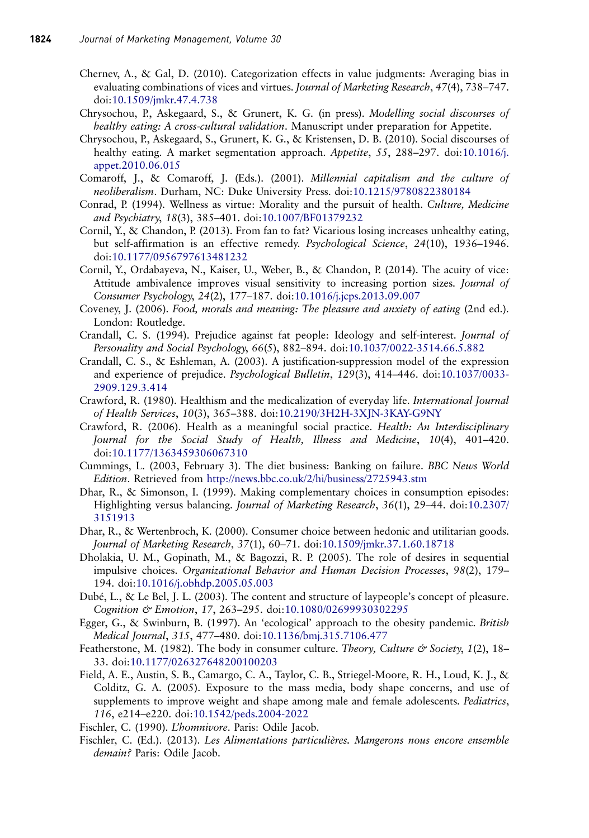- <span id="page-24-0"></span>Chernev, A., & Gal, D. (2010). Categorization effects in value judgments: Averaging bias in evaluating combinations of vices and virtues. Journal of Marketing Research, 47(4), 738–747. doi:[10.1509/jmkr.47.4.738](http://dx.doi.org/10.1509/jmkr.47.4.738)
- Chrysochou, P., Askegaard, S., & Grunert, K. G. (in press). Modelling social discourses of healthy eating: A cross-cultural validation. Manuscript under preparation for Appetite.
- Chrysochou, P., Askegaard, S., Grunert, K. G., & Kristensen, D. B. (2010). Social discourses of healthy eating. A market segmentation approach. Appetite, 55, 288–297. doi[:10.1016/j.](http://dx.doi.org/10.1016/j.appet.2010.06.015) [appet.2010.06.015](http://dx.doi.org/10.1016/j.appet.2010.06.015)
- Comaroff, J., & Comaroff, J. (Eds.). (2001). Millennial capitalism and the culture of neoliberalism. Durham, NC: Duke University Press. doi:[10.1215/9780822380184](http://dx.doi.org/10.1215/9780822380184)
- Conrad, P. (1994). Wellness as virtue: Morality and the pursuit of health. Culture, Medicine and Psychiatry, 18(3), 385–401. doi[:10.1007/BF01379232](http://dx.doi.org/10.1007/BF01379232)
- Cornil, Y., & Chandon, P. (2013). From fan to fat? Vicarious losing increases unhealthy eating, but self-affirmation is an effective remedy. Psychological Science, 24(10), 1936–1946. doi:[10.1177/0956797613481232](http://dx.doi.org/10.1177/0956797613481232)
- Cornil, Y., Ordabayeva, N., Kaiser, U., Weber, B., & Chandon, P. (2014). The acuity of vice: Attitude ambivalence improves visual sensitivity to increasing portion sizes. Journal of Consumer Psychology, 24(2), 177–187. doi:[10.1016/j.jcps.2013.09.007](http://dx.doi.org/10.1016/j.jcps.2013.09.007)
- Coveney, J. (2006). Food, morals and meaning: The pleasure and anxiety of eating (2nd ed.). London: Routledge.
- Crandall, C. S. (1994). Prejudice against fat people: Ideology and self-interest. Journal of Personality and Social Psychology, 66(5), 882–894. doi:[10.1037/0022-3514.66.5.882](http://dx.doi.org/10.1037/0022-3514.66.5.882)
- Crandall, C. S., & Eshleman, A. (2003). A justification-suppression model of the expression and experience of prejudice. Psychological Bulletin, 129(3), 414–446. doi[:10.1037/0033-](http://dx.doi.org/10.1037/0033-2909.129.3.414) [2909.129.3.414](http://dx.doi.org/10.1037/0033-2909.129.3.414)
- Crawford, R. (1980). Healthism and the medicalization of everyday life. International Journal of Health Services, 10(3), 365–388. doi[:10.2190/3H2H-3XJN-3KAY-G9NY](http://dx.doi.org/10.2190/3H2H-3XJN-3KAY-G9NY)
- Crawford, R. (2006). Health as a meaningful social practice. Health: An Interdisciplinary Journal for the Social Study of Health, Illness and Medicine, 10(4), 401–420. doi:[10.1177/1363459306067310](http://dx.doi.org/10.1177/1363459306067310)
- Cummings, L. (2003, February 3). The diet business: Banking on failure. BBC News World Edition. Retrieved from <http://news.bbc.co.uk/2/hi/business/2725943.stm>
- Dhar, R., & Simonson, I. (1999). Making complementary choices in consumption episodes: Highlighting versus balancing. Journal of Marketing Research, 36(1), 29–44. doi[:10.2307/](http://dx.doi.org/10.2307/3151913) [3151913](http://dx.doi.org/10.2307/3151913)
- Dhar, R., & Wertenbroch, K. (2000). Consumer choice between hedonic and utilitarian goods. Journal of Marketing Research, 37(1), 60–71. doi:[10.1509/jmkr.37.1.60.18718](http://dx.doi.org/10.1509/jmkr.37.1.60.18718)
- Dholakia, U. M., Gopinath, M., & Bagozzi, R. P. (2005). The role of desires in sequential impulsive choices. Organizational Behavior and Human Decision Processes, 98(2), 179– 194. doi[:10.1016/j.obhdp.2005.05.003](http://dx.doi.org/10.1016/j.obhdp.2005.05.003)
- Dubé, L., & Le Bel, J. L. (2003). The content and structure of laypeople's concept of pleasure. Cognition & Emotion, 17, 263–295. doi:[10.1080/02699930302295](http://dx.doi.org/10.1080/02699930302295)
- Egger, G., & Swinburn, B. (1997). An 'ecological' approach to the obesity pandemic. British Medical Journal, 315, 477–480. doi[:10.1136/bmj.315.7106.477](http://dx.doi.org/10.1136/bmj.315.7106.477)
- Featherstone, M. (1982). The body in consumer culture. Theory, Culture & Society, 1(2), 18-33. doi[:10.1177/026327648200100203](http://dx.doi.org/10.1177/026327648200100203)
- Field, A. E., Austin, S. B., Camargo, C. A., Taylor, C. B., Striegel-Moore, R. H., Loud, K. J., & Colditz, G. A. (2005). Exposure to the mass media, body shape concerns, and use of supplements to improve weight and shape among male and female adolescents. Pediatrics, 116, e214–e220. doi:[10.1542/peds.2004-2022](http://dx.doi.org/10.1542/peds.2004-2022)
- Fischler, C. (1990). L'homnivore. Paris: Odile Jacob.
- Fischler, C. (Ed.). (2013). Les Alimentations particulières. Mangerons nous encore ensemble demain? Paris: Odile Jacob.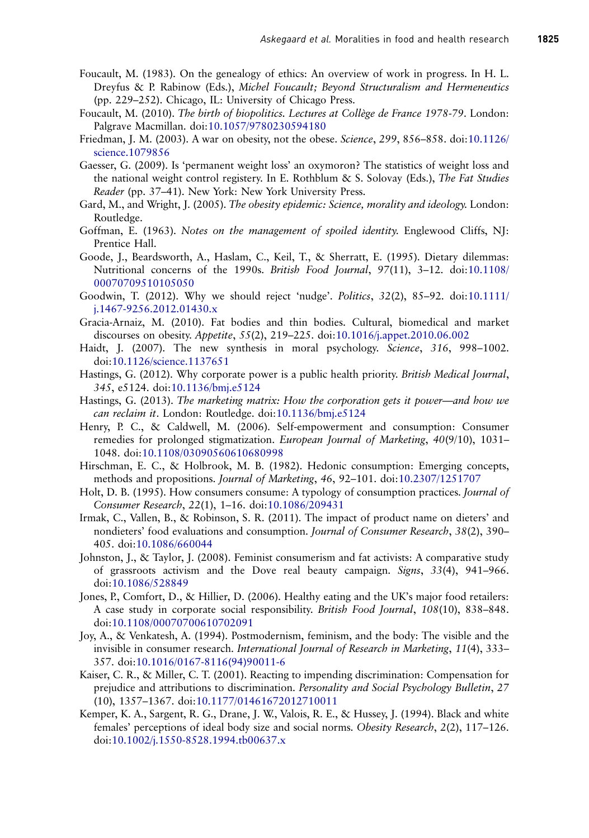- <span id="page-25-0"></span>Foucault, M. (1983). On the genealogy of ethics: An overview of work in progress. In H. L. Dreyfus & P. Rabinow (Eds.), Michel Foucault; Beyond Structuralism and Hermeneutics (pp. 229–252). Chicago, IL: University of Chicago Press.
- Foucault, M. (2010). The birth of biopolitics. Lectures at Collège de France 1978-79. London: Palgrave Macmillan. doi[:10.1057/9780230594180](http://dx.doi.org/10.1057/9780230594180)
- Friedman, J. M. (2003). A war on obesity, not the obese. Science, 299, 856–858. doi[:10.1126/](http://dx.doi.org/10.1126/science.1079856) [science.1079856](http://dx.doi.org/10.1126/science.1079856)
- Gaesser, G. (2009). Is 'permanent weight loss' an oxymoron? The statistics of weight loss and the national weight control registery. In E. Rothblum & S. Solovay (Eds.), The Fat Studies Reader (pp. 37–41). New York: New York University Press.
- Gard, M., and Wright, J. (2005). The obesity epidemic: Science, morality and ideology. London: Routledge.
- Goffman, E. (1963). Notes on the management of spoiled identity. Englewood Cliffs, NJ: Prentice Hall.
- Goode, J., Beardsworth, A., Haslam, C., Keil, T., & Sherratt, E. (1995). Dietary dilemmas: Nutritional concerns of the 1990s. British Food Journal, 97(11), 3–12. doi[:10.1108/](http://dx.doi.org/10.1108/00070709510105050) [00070709510105050](http://dx.doi.org/10.1108/00070709510105050)
- Goodwin, T. (2012). Why we should reject 'nudge'. Politics, 32(2), 85–92. doi[:10.1111/](http://dx.doi.org/10.1111/j.1467-9256.2012.01430.x) [j.1467-9256.2012.01430.x](http://dx.doi.org/10.1111/j.1467-9256.2012.01430.x)
- Gracia-Arnaiz, M. (2010). Fat bodies and thin bodies. Cultural, biomedical and market discourses on obesity. Appetite, 55(2), 219–225. doi[:10.1016/j.appet.2010.06.002](http://dx.doi.org/10.1016/j.appet.2010.06.002)
- Haidt, J. (2007). The new synthesis in moral psychology. Science, 316, 998–1002. doi:[10.1126/science.1137651](http://dx.doi.org/10.1126/science.1137651)
- Hastings, G. (2012). Why corporate power is a public health priority. British Medical Journal, 345, e5124. doi[:10.1136/bmj.e5124](http://dx.doi.org/10.1136/bmj.e5124)
- Hastings, G. (2013). The marketing matrix: How the corporation gets it power—and how we can reclaim it. London: Routledge. doi[:10.1136/bmj.e5124](http://dx.doi.org/10.1136/bmj.e5124)
- Henry, P. C., & Caldwell, M. (2006). Self-empowerment and consumption: Consumer remedies for prolonged stigmatization. European Journal of Marketing, 40(9/10), 1031– 1048. doi:[10.1108/03090560610680998](http://dx.doi.org/10.1108/03090560610680998)
- Hirschman, E. C., & Holbrook, M. B. (1982). Hedonic consumption: Emerging concepts, methods and propositions. Journal of Marketing, 46, 92-101. doi:[10.2307/1251707](http://dx.doi.org/10.2307/1251707)
- Holt, D. B. (1995). How consumers consume: A typology of consumption practices. Journal of Consumer Research, 22(1), 1–16. doi[:10.1086/209431](http://dx.doi.org/10.1086/209431)
- Irmak, C., Vallen, B., & Robinson, S. R. (2011). The impact of product name on dieters' and nondieters' food evaluations and consumption. Journal of Consumer Research, 38(2), 390– 405. doi[:10.1086/660044](http://dx.doi.org/10.1086/660044)
- Johnston, J., & Taylor, J. (2008). Feminist consumerism and fat activists: A comparative study of grassroots activism and the Dove real beauty campaign. Signs, 33(4), 941–966. doi:[10.1086/528849](http://dx.doi.org/10.1086/528849)
- Jones, P., Comfort, D., & Hillier, D. (2006). Healthy eating and the UK's major food retailers: A case study in corporate social responsibility. British Food Journal, 108(10), 838–848. doi:[10.1108/00070700610702091](http://dx.doi.org/10.1108/00070700610702091)
- Joy, A., & Venkatesh, A. (1994). Postmodernism, feminism, and the body: The visible and the invisible in consumer research. International Journal of Research in Marketing, 11(4), 333– 357. doi:[10.1016/0167-8116\(94\)90011-6](http://dx.doi.org/10.1016/0167-8116(94)90011-6)
- Kaiser, C. R., & Miller, C. T. (2001). Reacting to impending discrimination: Compensation for prejudice and attributions to discrimination. *Personality and Social Psychology Bulletin*, 27 (10), 1357–1367. doi[:10.1177/01461672012710011](http://dx.doi.org/10.1177/01461672012710011)
- Kemper, K. A., Sargent, R. G., Drane, J. W., Valois, R. E., & Hussey, J. (1994). Black and white females' perceptions of ideal body size and social norms. Obesity Research, 2(2), 117–126. doi:[10.1002/j.1550-8528.1994.tb00637.x](http://dx.doi.org/10.1002/j.1550-8528.1994.tb00637.x)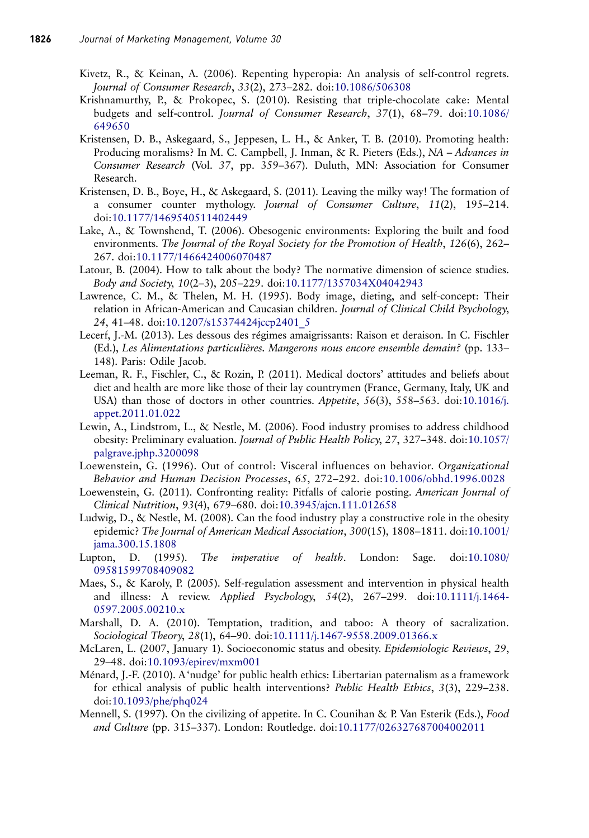- <span id="page-26-0"></span>Kivetz, R., & Keinan, A. (2006). Repenting hyperopia: An analysis of self-control regrets. Journal of Consumer Research, 33(2), 273–282. doi[:10.1086/506308](http://dx.doi.org/10.1086/506308)
- Krishnamurthy, P., & Prokopec, S. (2010). Resisting that triple‐chocolate cake: Mental budgets and self-control. Journal of Consumer Research, 37(1), 68-79. doi[:10.1086/](http://dx.doi.org/10.1086/649650) [649650](http://dx.doi.org/10.1086/649650)
- Kristensen, D. B., Askegaard, S., Jeppesen, L. H., & Anker, T. B. (2010). Promoting health: Producing moralisms? In M. C. Campbell, J. Inman, & R. Pieters (Eds.), NA – Advances in Consumer Research (Vol. 37, pp. 359–367). Duluth, MN: Association for Consumer Research.
- Kristensen, D. B., Boye, H., & Askegaard, S. (2011). Leaving the milky way! The formation of a consumer counter mythology. Journal of Consumer Culture, 11(2), 195–214. doi:[10.1177/1469540511402449](http://dx.doi.org/10.1177/1469540511402449)
- Lake, A., & Townshend, T. (2006). Obesogenic environments: Exploring the built and food environments. The Journal of the Royal Society for the Promotion of Health, 126(6), 262– 267. doi[:10.1177/1466424006070487](http://dx.doi.org/10.1177/1466424006070487)
- Latour, B. (2004). How to talk about the body? The normative dimension of science studies. Body and Society, 10(2–3), 205–229. doi[:10.1177/1357034X04042943](http://dx.doi.org/10.1177/1357034X04042943)
- Lawrence, C. M., & Thelen, M. H. (1995). Body image, dieting, and self-concept: Their relation in African-American and Caucasian children. Journal of Clinical Child Psychology, 24, 41–48. doi:[10.1207/s15374424jccp2401\\_5](http://dx.doi.org/10.1207/s15374424jccp2401%5F5)
- Lecerf, J.-M. (2013). Les dessous des régimes amaigrissants: Raison et deraison. In C. Fischler (Ed.), Les Alimentations particulières. Mangerons nous encore ensemble demain? (pp. 133– 148). Paris: Odile Jacob.
- Leeman, R. F., Fischler, C., & Rozin, P. (2011). Medical doctors' attitudes and beliefs about diet and health are more like those of their lay countrymen (France, Germany, Italy, UK and USA) than those of doctors in other countries. Appetite, 56(3), 558-563. doi[:10.1016/j.](http://dx.doi.org/10.1016/j.appet.2011.01.022) [appet.2011.01.022](http://dx.doi.org/10.1016/j.appet.2011.01.022)
- Lewin, A., Lindstrom, L., & Nestle, M. (2006). Food industry promises to address childhood obesity: Preliminary evaluation. Journal of Public Health Policy, 27, 327–348. doi[:10.1057/](http://dx.doi.org/10.1057/palgrave.jphp.3200098) [palgrave.jphp.3200098](http://dx.doi.org/10.1057/palgrave.jphp.3200098)
- Loewenstein, G. (1996). Out of control: Visceral influences on behavior. Organizational Behavior and Human Decision Processes, 65, 272–292. doi:[10.1006/obhd.1996.0028](http://dx.doi.org/10.1006/obhd.1996.0028)
- Loewenstein, G. (2011). Confronting reality: Pitfalls of calorie posting. American Journal of Clinical Nutrition, 93(4), 679–680. doi:[10.3945/ajcn.111.012658](http://dx.doi.org/10.3945/ajcn.111.012658)
- Ludwig, D., & Nestle, M. (2008). Can the food industry play a constructive role in the obesity epidemic? The Journal of American Medical Association, 300(15), 1808–1811. doi[:10.1001/](http://dx.doi.org/10.1001/jama.300.15.1808) [jama.300.15.1808](http://dx.doi.org/10.1001/jama.300.15.1808)
- Lupton, D. (1995). The imperative of health. London: Sage. doi[:10.1080/](http://dx.doi.org/10.1080/09581599708409082) [09581599708409082](http://dx.doi.org/10.1080/09581599708409082)
- Maes, S., & Karoly, P. (2005). Self-regulation assessment and intervention in physical health and illness: A review. Applied Psychology, 54(2), 267–299. doi:[10.1111/j.1464-](http://dx.doi.org/10.1111/j.1464-0597.2005.00210.x) [0597.2005.00210.x](http://dx.doi.org/10.1111/j.1464-0597.2005.00210.x)
- Marshall, D. A. (2010). Temptation, tradition, and taboo: A theory of sacralization. Sociological Theory, 28(1), 64–90. doi:[10.1111/j.1467-9558.2009.01366.x](http://dx.doi.org/10.1111/j.1467-9558.2009.01366.x)
- McLaren, L. (2007, January 1). Socioeconomic status and obesity. Epidemiologic Reviews, 29, 29–48. doi[:10.1093/epirev/mxm001](http://dx.doi.org/10.1093/epirev/mxm001)
- Ménard, J.-F. (2010). A'nudge' for public health ethics: Libertarian paternalism as a framework for ethical analysis of public health interventions? Public Health Ethics, 3(3), 229–238. doi:[10.1093/phe/phq024](http://dx.doi.org/10.1093/phe/phq024)
- Mennell, S. (1997). On the civilizing of appetite. In C. Counihan & P. Van Esterik (Eds.), Food and Culture (pp. 315–337). London: Routledge. doi:[10.1177/026327687004002011](http://dx.doi.org/10.1177/026327687004002011)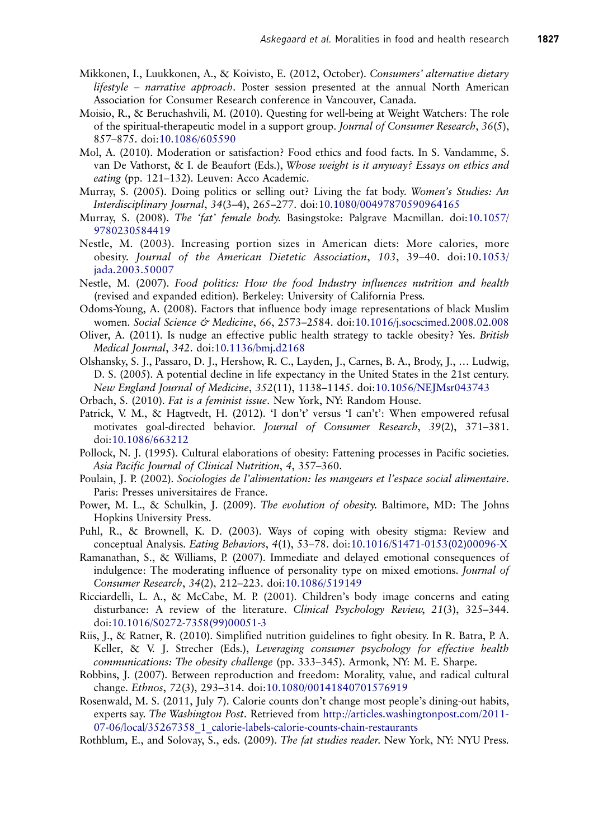- <span id="page-27-0"></span>Mikkonen, I., Luukkonen, A., & Koivisto, E. (2012, October). Consumers' alternative dietary lifestyle – narrative approach. Poster session presented at the annual North American Association for Consumer Research conference in Vancouver, Canada.
- Moisio, R., & Beruchashvili, M. (2010). Questing for well-being at Weight Watchers: The role of the spiritual-therapeutic model in a support group. *Journal of Consumer Research*, 36(5), 857–875. doi[:10.1086/605590](http://dx.doi.org/10.1086/605590)
- Mol, A. (2010). Moderation or satisfaction? Food ethics and food facts. In S. Vandamme, S. van De Vathorst, & I. de Beaufort (Eds.), Whose weight is it anyway? Essays on ethics and eating (pp. 121–132). Leuven: Acco Academic.
- Murray, S. (2005). Doing politics or selling out? Living the fat body. Women's Studies: An Interdisciplinary Journal, 34(3–4), 265–277. doi:[10.1080/00497870590964165](http://dx.doi.org/10.1080/00497870590964165)
- Murray, S. (2008). The 'fat' female body. Basingstoke: Palgrave Macmillan. doi[:10.1057/](http://dx.doi.org/10.1057/9780230584419) [9780230584419](http://dx.doi.org/10.1057/9780230584419)
- Nestle, M. (2003). Increasing portion sizes in American diets: More calories, more obesity. Journal of the American Dietetic Association, 103, 39–40. doi:[10.1053/](http://dx.doi.org/10.1053/jada.2003.50007) [jada.2003.50007](http://dx.doi.org/10.1053/jada.2003.50007)
- Nestle, M. (2007). Food politics: How the food Industry influences nutrition and health (revised and expanded edition). Berkeley: University of California Press.
- Odoms-Young, A. (2008). Factors that influence body image representations of black Muslim women. Social Science & Medicine, 66, 2573-2584. doi[:10.1016/j.socscimed.2008.02.008](http://dx.doi.org/10.1016/j.socscimed.2008.02.008)
- Oliver, A. (2011). Is nudge an effective public health strategy to tackle obesity? Yes. British Medical Journal, 342. doi:[10.1136/bmj.d2168](http://dx.doi.org/10.1136/bmj.d2168)
- Olshansky, S. J., Passaro, D. J., Hershow, R. C., Layden, J., Carnes, B. A., Brody, J., … Ludwig, D. S. (2005). A potential decline in life expectancy in the United States in the 21st century. New England Journal of Medicine, 352(11), 1138–1145. doi:[10.1056/NEJMsr043743](http://dx.doi.org/10.1056/NEJMsr043743)
- Orbach, S. (2010). Fat is a feminist issue. New York, NY: Random House.
- Patrick, V. M., & Hagtvedt, H. (2012). 'I don't' versus 'I can't': When empowered refusal motivates goal-directed behavior. Journal of Consumer Research, 39(2), 371–381. doi:[10.1086/663212](http://dx.doi.org/10.1086/663212)
- Pollock, N. J. (1995). Cultural elaborations of obesity: Fattening processes in Pacific societies. Asia Pacific Journal of Clinical Nutrition, 4, 357–360.
- Poulain, J. P. (2002). Sociologies de l'alimentation: les mangeurs et l'espace social alimentaire. Paris: Presses universitaires de France.
- Power, M. L., & Schulkin, J. (2009). The evolution of obesity. Baltimore, MD: The Johns Hopkins University Press.
- Puhl, R., & Brownell, K. D. (2003). Ways of coping with obesity stigma: Review and conceptual Analysis. Eating Behaviors, 4(1), 53–78. doi:[10.1016/S1471-0153\(02\)00096-X](http://dx.doi.org/10.1016/S1471-0153(02)00096-X)
- Ramanathan, S., & Williams, P. (2007). Immediate and delayed emotional consequences of indulgence: The moderating influence of personality type on mixed emotions. Journal of Consumer Research, 34(2), 212–223. doi:[10.1086/519149](http://dx.doi.org/10.1086/519149)
- Ricciardelli, L. A., & McCabe, M. P. (2001). Children's body image concerns and eating disturbance: A review of the literature. Clinical Psychology Review, 21(3), 325-344. doi:[10.1016/S0272-7358\(99\)00051-3](http://dx.doi.org/10.1016/S0272-7358(99)00051-3)
- Riis, J., & Ratner, R. (2010). Simplified nutrition guidelines to fight obesity. In R. Batra, P. A. Keller, & V. J. Strecher (Eds.), Leveraging consumer psychology for effective health communications: The obesity challenge (pp. 333–345). Armonk, NY: M. E. Sharpe.
- Robbins, J. (2007). Between reproduction and freedom: Morality, value, and radical cultural change. Ethnos, 72(3), 293–314. doi:[10.1080/00141840701576919](http://dx.doi.org/10.1080/00141840701576919)
- Rosenwald, M. S. (2011, July 7). Calorie counts don't change most people's dining-out habits, experts say. The Washington Post. Retrieved from [http://articles.washingtonpost.com/2011-](http://articles.washingtonpost.com/2011-07-06/local/35267358_1_calorie-labels-calorie-counts-chain-restaurants) [07-06/local/35267358\\_1\\_calorie-labels-calorie-counts-chain-restaurants](http://articles.washingtonpost.com/2011-07-06/local/35267358_1_calorie-labels-calorie-counts-chain-restaurants)
- Rothblum, E., and Solovay, S., eds. (2009). The fat studies reader. New York, NY: NYU Press.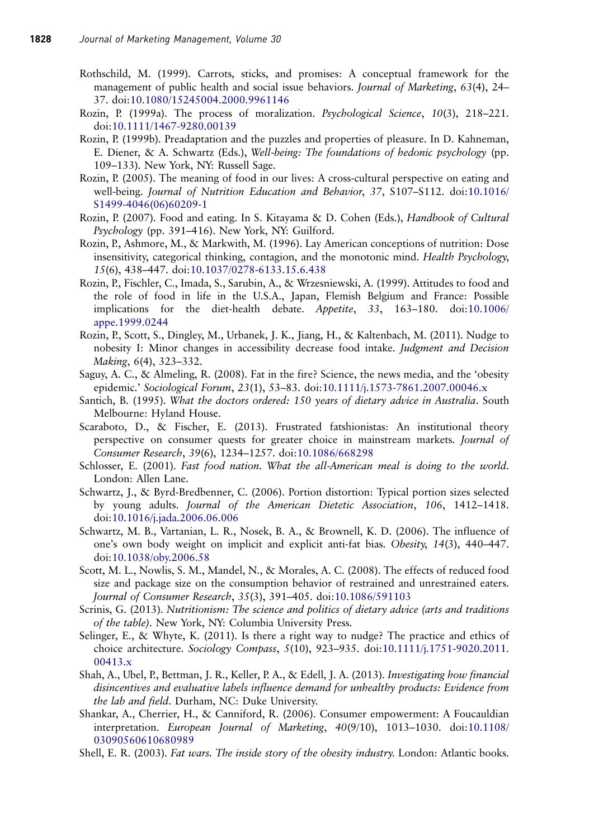- <span id="page-28-0"></span>Rothschild, M. (1999). Carrots, sticks, and promises: A conceptual framework for the management of public health and social issue behaviors. Journal of Marketing, 63(4), 24– 37. doi[:10.1080/15245004.2000.9961146](http://dx.doi.org/10.1080/15245004.2000.9961146)
- Rozin, P. (1999a). The process of moralization. Psychological Science, 10(3), 218–221. doi:[10.1111/1467-9280.00139](http://dx.doi.org/10.1111/1467-9280.00139)
- Rozin, P. (1999b). Preadaptation and the puzzles and properties of pleasure. In D. Kahneman, E. Diener, & A. Schwartz (Eds.), Well-being: The foundations of hedonic psychology (pp. 109–133). New York, NY: Russell Sage.
- Rozin, P. (2005). The meaning of food in our lives: A cross-cultural perspective on eating and well-being. Journal of Nutrition Education and Behavior, 37, S107–S112. doi[:10.1016/](http://dx.doi.org/10.1016/S1499-4046(06)60209-1) [S1499-4046\(06\)60209-1](http://dx.doi.org/10.1016/S1499-4046(06)60209-1)
- Rozin, P. (2007). Food and eating. In S. Kitayama & D. Cohen (Eds.), Handbook of Cultural Psychology (pp. 391–416). New York, NY: Guilford.
- Rozin, P., Ashmore, M., & Markwith, M. (1996). Lay American conceptions of nutrition: Dose insensitivity, categorical thinking, contagion, and the monotonic mind. Health Psychology, 15(6), 438–447. doi[:10.1037/0278-6133.15.6.438](http://dx.doi.org/10.1037/0278-6133.15.6.438)
- Rozin, P., Fischler, C., Imada, S., Sarubin, A., & Wrzesniewski, A. (1999). Attitudes to food and the role of food in life in the U.S.A., Japan, Flemish Belgium and France: Possible implications for the diet-health debate. Appetite, 33, 163–180. doi[:10.1006/](http://dx.doi.org/10.1006/appe.1999.0244) [appe.1999.0244](http://dx.doi.org/10.1006/appe.1999.0244)
- Rozin, P., Scott, S., Dingley, M., Urbanek, J. K., Jiang, H., & Kaltenbach, M. (2011). Nudge to nobesity I: Minor changes in accessibility decrease food intake. Judgment and Decision Making, 6(4), 323–332.
- Saguy, A. C., & Almeling, R. (2008). Fat in the fire? Science, the news media, and the 'obesity epidemic.' Sociological Forum, 23(1), 53–83. doi[:10.1111/j.1573-7861.2007.00046.x](http://dx.doi.org/10.1111/j.1573-7861.2007.00046.x)
- Santich, B. (1995). What the doctors ordered: 150 years of dietary advice in Australia. South Melbourne: Hyland House.
- Scaraboto, D., & Fischer, E. (2013). Frustrated fatshionistas: An institutional theory perspective on consumer quests for greater choice in mainstream markets. Journal of Consumer Research, 39(6), 1234–1257. doi:[10.1086/668298](http://dx.doi.org/10.1086/668298)
- Schlosser, E. (2001). Fast food nation. What the all-American meal is doing to the world. London: Allen Lane.
- Schwartz, J., & Byrd-Bredbenner, C. (2006). Portion distortion: Typical portion sizes selected by young adults. Journal of the American Dietetic Association, 106, 1412–1418. doi:[10.1016/j.jada.2006.06.006](http://dx.doi.org/10.1016/j.jada.2006.06.006)
- Schwartz, M. B., Vartanian, L. R., Nosek, B. A., & Brownell, K. D. (2006). The influence of one's own body weight on implicit and explicit anti-fat bias. Obesity, 14(3), 440–447. doi:[10.1038/oby.2006.58](http://dx.doi.org/10.1038/oby.2006.58)
- Scott, M. L., Nowlis, S. M., Mandel, N., & Morales, A. C. (2008). The effects of reduced food size and package size on the consumption behavior of restrained and unrestrained eaters. Journal of Consumer Research, 35(3), 391–405. doi[:10.1086/591103](http://dx.doi.org/10.1086/591103)
- Scrinis, G. (2013). Nutritionism: The science and politics of dietary advice (arts and traditions of the table). New York, NY: Columbia University Press.
- Selinger, E., & Whyte, K. (2011). Is there a right way to nudge? The practice and ethics of choice architecture. Sociology Compass, 5(10), 923–935. doi[:10.1111/j.1751-9020.2011.](http://dx.doi.org/10.1111/j.1751-9020.2011.00413.x) [00413.x](http://dx.doi.org/10.1111/j.1751-9020.2011.00413.x)
- Shah, A., Ubel, P., Bettman, J. R., Keller, P. A., & Edell, J. A. (2013). Investigating how financial disincentives and evaluative labels influence demand for unhealthy products: Evidence from the lab and field. Durham, NC: Duke University.
- Shankar, A., Cherrier, H., & Canniford, R. (2006). Consumer empowerment: A Foucauldian interpretation. European Journal of Marketing, 40(9/10), 1013–1030. doi[:10.1108/](http://dx.doi.org/10.1108/03090560610680989) [03090560610680989](http://dx.doi.org/10.1108/03090560610680989)
- Shell, E. R. (2003). Fat wars. The inside story of the obesity industry. London: Atlantic books.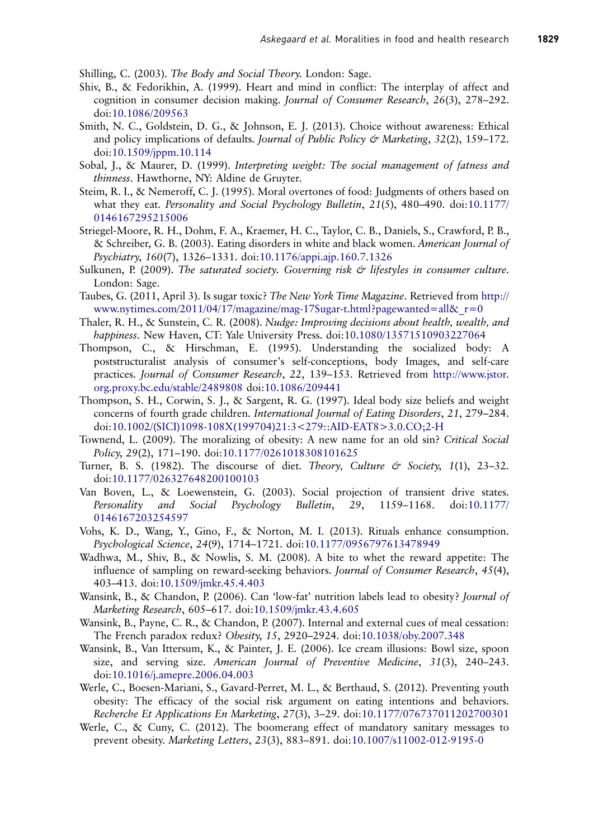<span id="page-29-0"></span>Shilling, C. (2003). The Body and Social Theory. London: Sage.

- Shiv, B., & Fedorikhin, A. (1999). Heart and mind in conflict: The interplay of affect and cognition in consumer decision making. Journal of Consumer Research, 26(3), 278–292. doi:[10.1086/209563](http://dx.doi.org/10.1086/209563)
- Smith, N. C., Goldstein, D. G., & Johnson, E. J. (2013). Choice without awareness: Ethical and policy implications of defaults. Journal of Public Policy & Marketing,  $32(2)$ ,  $159-172$ . doi:[10.1509/jppm.10.114](http://dx.doi.org/10.1509/jppm.10.114)
- Sobal, J., & Maurer, D. (1999). Interpreting weight: The social management of fatness and thinness. Hawthorne, NY: Aldine de Gruyter.
- Steim, R. I., & Nemeroff, C. J. (1995). Moral overtones of food: Judgments of others based on what they eat. Personality and Social Psychology Bulletin, 21(5), 480–490. doi[:10.1177/](http://dx.doi.org/10.1177/0146167295215006) [0146167295215006](http://dx.doi.org/10.1177/0146167295215006)
- Striegel-Moore, R. H., Dohm, F. A., Kraemer, H. C., Taylor, C. B., Daniels, S., Crawford, P. B., & Schreiber, G. B. (2003). Eating disorders in white and black women. American Journal of Psychiatry, 160(7), 1326–1331. doi[:10.1176/appi.ajp.160.7.1326](http://dx.doi.org/10.1176/appi.ajp.160.7.1326)
- Sulkunen, P. (2009). The saturated society. Governing risk  $\dot{\varphi}$  lifestyles in consumer culture. London: Sage.
- Taubes, G. (2011, April 3). Is sugar toxic? The New York Time Magazine. Retrieved from [http://](http://www.nytimes.com/2011/04/17/magazine/mag-17Sugar-t.html?pagewanted=all%26_r=0) www.nytimes.com/2011/04/17/magazine/mag-17Sugar-t.html?pagewanted=all $&r=0$
- Thaler, R. H., & Sunstein, C. R. (2008). Nudge: Improving decisions about health, wealth, and happiness. New Haven, CT: Yale University Press. doi[:10.1080/13571510903227064](http://dx.doi.org/10.1080/13571510903227064)
- Thompson, C., & Hirschman, E. (1995). Understanding the socialized body: A poststructuralist analysis of consumer's self-conceptions, body Images, and self-care practices. Journal of Consumer Research, 22, 139–153. Retrieved from [http://www.jstor.](http://www.jstor.org.proxy.bc.edu/stable/2489808) [org.proxy.bc.edu/stable/2489808](http://www.jstor.org.proxy.bc.edu/stable/2489808) doi:[10.1086/209441](http://dx.doi.org/10.1086/209441)
- Thompson, S. H., Corwin, S. J., & Sargent, R. G. (1997). Ideal body size beliefs and weight concerns of fourth grade children. International Journal of Eating Disorders, 21, 279–284. doi:[10.1002/\(SICI\)1098-108X\(199704\)21:3<279::AID-EAT8>3.0.CO;2-H](http://dx.doi.org/10.1002/(SICI)1098-108X(199704)21:3%3C279::AID-EAT8%3E3.0.CO;2-H)
- Townend, L. (2009). The moralizing of obesity: A new name for an old sin? Critical Social Policy, 29(2), 171-190. doi[:10.1177/0261018308101625](http://dx.doi.org/10.1177/0261018308101625)
- Turner, B. S. (1982). The discourse of diet. Theory, Culture  $\acute{\sigma}$  Society, 1(1), 23–32. doi:[10.1177/026327648200100103](http://dx.doi.org/10.1177/026327648200100103)
- Van Boven, L., & Loewenstein, G. (2003). Social projection of transient drive states. Personality and Social Psychology Bulletin, 29, 1159–1168. doi[:10.1177/](http://dx.doi.org/10.1177/0146167203254597) [0146167203254597](http://dx.doi.org/10.1177/0146167203254597)
- Vohs, K. D., Wang, Y., Gino, F., & Norton, M. I. (2013). Rituals enhance consumption. Psychological Science, 24(9), 1714–1721. doi[:10.1177/0956797613478949](http://dx.doi.org/10.1177/0956797613478949)
- Wadhwa, M., Shiv, B., & Nowlis, S. M. (2008). A bite to whet the reward appetite: The influence of sampling on reward-seeking behaviors. Journal of Consumer Research, 45(4), 403–413. doi[:10.1509/jmkr.45.4.403](http://dx.doi.org/10.1509/jmkr.45.4.403)
- Wansink, B., & Chandon, P. (2006). Can 'low-fat' nutrition labels lead to obesity? Journal of Marketing Research, 605–617. doi[:10.1509/jmkr.43.4.605](http://dx.doi.org/10.1509/jmkr.43.4.605)
- Wansink, B., Payne, C. R., & Chandon, P. (2007). Internal and external cues of meal cessation: The French paradox redux? Obesity, 15, 2920–2924. doi:[10.1038/oby.2007.348](http://dx.doi.org/10.1038/oby.2007.348)
- Wansink, B., Van Ittersum, K., & Painter, J. E. (2006). Ice cream illusions: Bowl size, spoon size, and serving size. American Journal of Preventive Medicine, 31(3), 240–243. doi:[10.1016/j.amepre.2006.04.003](http://dx.doi.org/10.1016/j.amepre.2006.04.003)
- Werle, C., Boesen-Mariani, S., Gavard-Perret, M. L., & Berthaud, S. (2012). Preventing youth obesity: The efficacy of the social risk argument on eating intentions and behaviors. Recherche Et Applications En Marketing, 27(3), 3–29. doi:[10.1177/076737011202700301](http://dx.doi.org/10.1177/076737011202700301)
- Werle, C., & Cuny, C. (2012). The boomerang effect of mandatory sanitary messages to prevent obesity. Marketing Letters, 23(3), 883–891. doi:[10.1007/s11002-012-9195-0](http://dx.doi.org/10.1007/s11002-012-9195-0)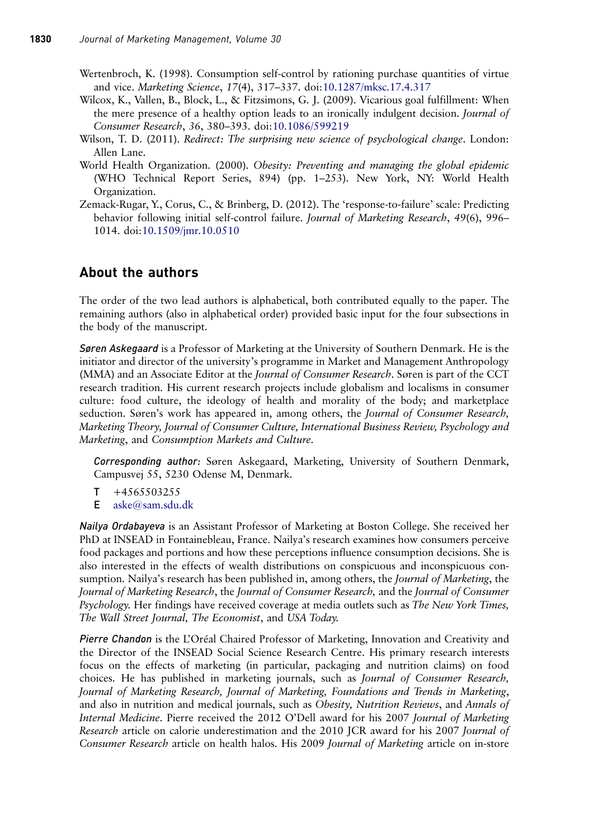<span id="page-30-0"></span>Wertenbroch, K. (1998). Consumption self-control by rationing purchase quantities of virtue and vice. Marketing Science, 17(4), 317–337. doi[:10.1287/mksc.17.4.317](http://dx.doi.org/10.1287/mksc.17.4.317)

- Wilcox, K., Vallen, B., Block, L., & Fitzsimons, G. J. (2009). Vicarious goal fulfillment: When the mere presence of a healthy option leads to an ironically indulgent decision. Journal of Consumer Research, 36, 380–393. doi[:10.1086/599219](http://dx.doi.org/10.1086/599219)
- Wilson, T. D. (2011). Redirect: The surprising new science of psychological change. London: Allen Lane.
- World Health Organization. (2000). Obesity: Preventing and managing the global epidemic (WHO Technical Report Series, 894) (pp. 1–253). New York, NY: World Health Organization.
- Zemack-Rugar, Y., Corus, C., & Brinberg, D. (2012). The 'response-to-failure' scale: Predicting behavior following initial self-control failure. Journal of Marketing Research, 49(6), 996– 1014. doi:[10.1509/jmr.10.0510](http://dx.doi.org/10.1509/jmr.10.0510)

# About the authors

The order of the two lead authors is alphabetical, both contributed equally to the paper. The remaining authors (also in alphabetical order) provided basic input for the four subsections in the body of the manuscript.

Søren Askegaard is a Professor of Marketing at the University of Southern Denmark. He is the initiator and director of the university's programme in Market and Management Anthropology (MMA) and an Associate Editor at the Journal of Consumer Research. Søren is part of the CCT research tradition. His current research projects include globalism and localisms in consumer culture: food culture, the ideology of health and morality of the body; and marketplace seduction. Søren's work has appeared in, among others, the *Journal of Consumer Research*, Marketing Theory, Journal of Consumer Culture, International Business Review, Psychology and Marketing, and Consumption Markets and Culture.

Corresponding author: Søren Askegaard, Marketing, University of Southern Denmark, Campusvej 55, 5230 Odense M, Denmark.

- $T +4565503255$
- E aske@sam.sdu.dk

Nailya Ordabayeva is an Assistant Professor of Marketing at Boston College. She received her PhD at INSEAD in Fontainebleau, France. Nailya's research examines how consumers perceive food packages and portions and how these perceptions influence consumption decisions. She is also interested in the effects of wealth distributions on conspicuous and inconspicuous consumption. Nailya's research has been published in, among others, the Journal of Marketing, the Journal of Marketing Research, the Journal of Consumer Research, and the Journal of Consumer Psychology. Her findings have received coverage at media outlets such as *The New York Times*, The Wall Street Journal, The Economist, and USA Today.

Pierre Chandon is the L'Oréal Chaired Professor of Marketing, Innovation and Creativity and the Director of the INSEAD Social Science Research Centre. His primary research interests focus on the effects of marketing (in particular, packaging and nutrition claims) on food choices. He has published in marketing journals, such as Journal of Consumer Research, Journal of Marketing Research, Journal of Marketing, Foundations and Trends in Marketing, and also in nutrition and medical journals, such as Obesity, Nutrition Reviews, and Annals of Internal Medicine. Pierre received the 2012 O'Dell award for his 2007 Journal of Marketing Research article on calorie underestimation and the 2010 JCR award for his 2007 Journal of Consumer Research article on health halos. His 2009 Journal of Marketing article on in-store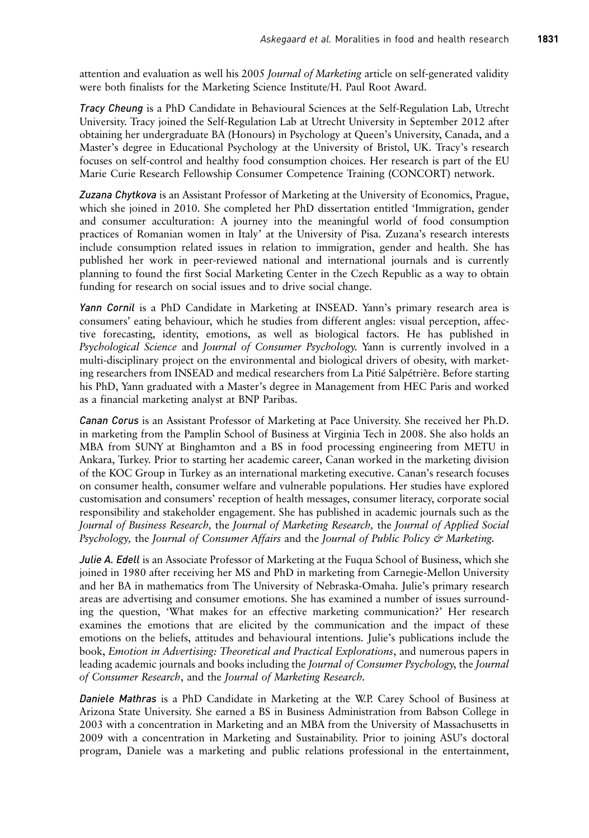attention and evaluation as well his 2005 Journal of Marketing article on self-generated validity were both finalists for the Marketing Science Institute/H. Paul Root Award.

Tracy Cheung is a PhD Candidate in Behavioural Sciences at the Self-Regulation Lab, Utrecht University. Tracy joined the Self-Regulation Lab at Utrecht University in September 2012 after obtaining her undergraduate BA (Honours) in Psychology at Queen's University, Canada, and a Master's degree in Educational Psychology at the University of Bristol, UK. Tracy's research focuses on self-control and healthy food consumption choices. Her research is part of the EU Marie Curie Research Fellowship Consumer Competence Training (CONCORT) network.

Zuzana Chytkova is an Assistant Professor of Marketing at the University of Economics, Prague, which she joined in 2010. She completed her PhD dissertation entitled 'Immigration, gender and consumer acculturation: A journey into the meaningful world of food consumption practices of Romanian women in Italy' at the University of Pisa. Zuzana's research interests include consumption related issues in relation to immigration, gender and health. She has published her work in peer-reviewed national and international journals and is currently planning to found the first Social Marketing Center in the Czech Republic as a way to obtain funding for research on social issues and to drive social change.

Yann Cornil is a PhD Candidate in Marketing at INSEAD. Yann's primary research area is consumers' eating behaviour, which he studies from different angles: visual perception, affective forecasting, identity, emotions, as well as biological factors. He has published in Psychological Science and Journal of Consumer Psychology. Yann is currently involved in a multi-disciplinary project on the environmental and biological drivers of obesity, with marketing researchers from INSEAD and medical researchers from La Pitié Salpétrière. Before starting his PhD, Yann graduated with a Master's degree in Management from HEC Paris and worked as a financial marketing analyst at BNP Paribas.

Canan Corus is an Assistant Professor of Marketing at Pace University. She received her Ph.D. in marketing from the Pamplin School of Business at Virginia Tech in 2008. She also holds an MBA from SUNY at Binghamton and a BS in food processing engineering from METU in Ankara, Turkey. Prior to starting her academic career, Canan worked in the marketing division of the KOC Group in Turkey as an international marketing executive. Canan's research focuses on consumer health, consumer welfare and vulnerable populations. Her studies have explored customisation and consumers' reception of health messages, consumer literacy, corporate social responsibility and stakeholder engagement. She has published in academic journals such as the Journal of Business Research, the Journal of Marketing Research, the Journal of Applied Social Psychology, the Journal of Consumer Affairs and the Journal of Public Policy & Marketing.

Julie A. Edell is an Associate Professor of Marketing at the Fuqua School of Business, which she joined in 1980 after receiving her MS and PhD in marketing from Carnegie-Mellon University and her BA in mathematics from The University of Nebraska-Omaha. Julie's primary research areas are advertising and consumer emotions. She has examined a number of issues surrounding the question, 'What makes for an effective marketing communication?' Her research examines the emotions that are elicited by the communication and the impact of these emotions on the beliefs, attitudes and behavioural intentions. Julie's publications include the book, Emotion in Advertising: Theoretical and Practical Explorations, and numerous papers in leading academic journals and books including the Journal of Consumer Psychology, the Journal of Consumer Research, and the Journal of Marketing Research.

Daniele Mathras is a PhD Candidate in Marketing at the W.P. Carey School of Business at Arizona State University. She earned a BS in Business Administration from Babson College in 2003 with a concentration in Marketing and an MBA from the University of Massachusetts in 2009 with a concentration in Marketing and Sustainability. Prior to joining ASU's doctoral program, Daniele was a marketing and public relations professional in the entertainment,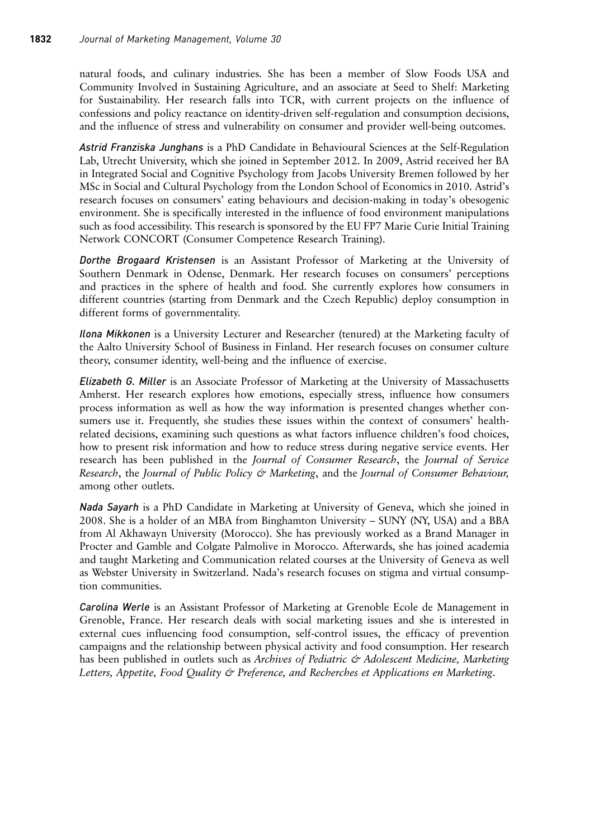natural foods, and culinary industries. She has been a member of Slow Foods USA and Community Involved in Sustaining Agriculture, and an associate at Seed to Shelf: Marketing for Sustainability. Her research falls into TCR, with current projects on the influence of confessions and policy reactance on identity-driven self-regulation and consumption decisions, and the influence of stress and vulnerability on consumer and provider well-being outcomes.

Astrid Franziska Junghans is a PhD Candidate in Behavioural Sciences at the Self-Regulation Lab, Utrecht University, which she joined in September 2012. In 2009, Astrid received her BA in Integrated Social and Cognitive Psychology from Jacobs University Bremen followed by her MSc in Social and Cultural Psychology from the London School of Economics in 2010. Astrid's research focuses on consumers' eating behaviours and decision-making in today's obesogenic environment. She is specifically interested in the influence of food environment manipulations such as food accessibility. This research is sponsored by the EU FP7 Marie Curie Initial Training Network CONCORT (Consumer Competence Research Training).

Dorthe Brogaard Kristensen is an Assistant Professor of Marketing at the University of Southern Denmark in Odense, Denmark. Her research focuses on consumers' perceptions and practices in the sphere of health and food. She currently explores how consumers in different countries (starting from Denmark and the Czech Republic) deploy consumption in different forms of governmentality.

Ilona Mikkonen is a University Lecturer and Researcher (tenured) at the Marketing faculty of the Aalto University School of Business in Finland. Her research focuses on consumer culture theory, consumer identity, well-being and the influence of exercise.

Elizabeth G. Miller is an Associate Professor of Marketing at the University of Massachusetts Amherst. Her research explores how emotions, especially stress, influence how consumers process information as well as how the way information is presented changes whether consumers use it. Frequently, she studies these issues within the context of consumers' healthrelated decisions, examining such questions as what factors influence children's food choices, how to present risk information and how to reduce stress during negative service events. Her research has been published in the Journal of Consumer Research, the Journal of Service Research, the Journal of Public Policy & Marketing, and the Journal of Consumer Behaviour, among other outlets.

Nada Sayarh is a PhD Candidate in Marketing at University of Geneva, which she joined in 2008. She is a holder of an MBA from Binghamton University – SUNY (NY, USA) and a BBA from Al Akhawayn University (Morocco). She has previously worked as a Brand Manager in Procter and Gamble and Colgate Palmolive in Morocco. Afterwards, she has joined academia and taught Marketing and Communication related courses at the University of Geneva as well as Webster University in Switzerland. Nada's research focuses on stigma and virtual consumption communities.

Carolina Werle is an Assistant Professor of Marketing at Grenoble Ecole de Management in Grenoble, France. Her research deals with social marketing issues and she is interested in external cues influencing food consumption, self-control issues, the efficacy of prevention campaigns and the relationship between physical activity and food consumption. Her research has been published in outlets such as Archives of Pediatric & Adolescent Medicine, Marketing Letters, Appetite, Food Quality & Preference, and Recherches et Applications en Marketing.